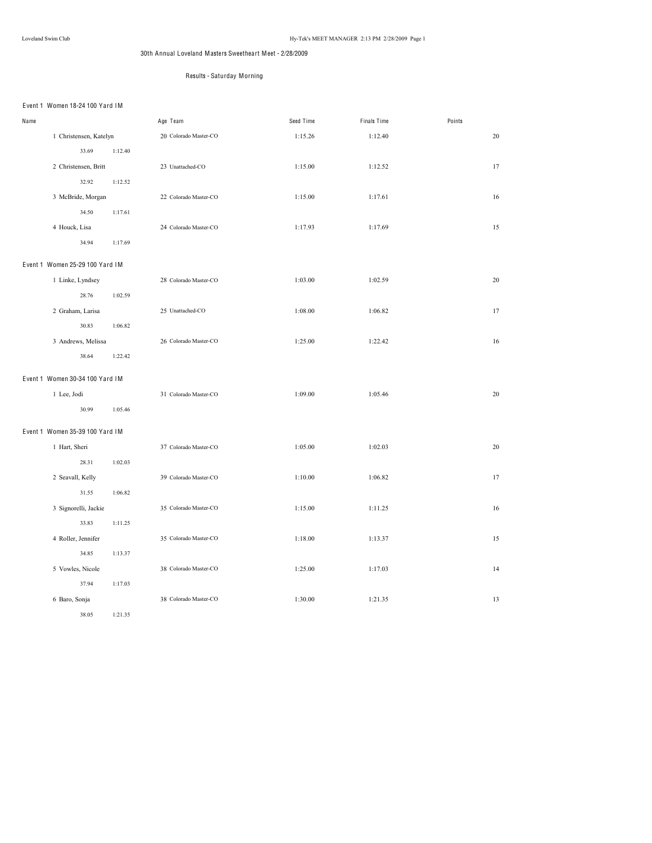# 30th Annual Loveland Masters Sweetheart Meet - 2/28/2009

# Results - Saturday Morning

# Event 1 Women 18-24 100 Yard IM

| Name |                                 |         | Age Team              | Seed Time | Finals Time | Points |
|------|---------------------------------|---------|-----------------------|-----------|-------------|--------|
|      | 1 Christensen, Katelyn          |         | 20 Colorado Master-CO | 1:15.26   | 1:12.40     | 20     |
|      | 33.69                           | 1:12.40 |                       |           |             |        |
|      | 2 Christensen, Britt            |         | 23 Unattached-CO      | 1:15.00   | 1:12.52     | 17     |
|      | 32.92                           | 1:12.52 |                       |           |             |        |
|      | 3 McBride, Morgan               |         | 22 Colorado Master-CO | 1:15.00   | 1:17.61     | 16     |
|      | 34.50                           | 1:17.61 |                       |           |             |        |
|      | 4 Houck, Lisa                   |         | 24 Colorado Master-CO | 1:17.93   | 1:17.69     | 15     |
|      | 34.94                           | 1:17.69 |                       |           |             |        |
|      | Event 1 Women 25-29 100 Yard IM |         |                       |           |             |        |
|      | 1 Linke, Lyndsey                |         | 28 Colorado Master-CO | 1:03.00   | 1:02.59     | 20     |
|      | 28.76                           | 1:02.59 |                       |           |             |        |
|      | 2 Graham, Larisa                |         | 25 Unattached-CO      | 1:08.00   | 1:06.82     | 17     |
|      | 30.83                           | 1:06.82 |                       |           |             |        |
|      | 3 Andrews, Melissa              |         | 26 Colorado Master-CO | 1:25.00   | 1:22.42     | 16     |
|      | 38.64                           | 1:22.42 |                       |           |             |        |
|      | Event 1 Women 30-34 100 Yard IM |         |                       |           |             |        |
|      | 1 Lee, Jodi                     |         | 31 Colorado Master-CO | 1:09.00   | 1:05.46     | 20     |
|      | 30.99                           | 1:05.46 |                       |           |             |        |
|      | Event 1 Women 35-39 100 Yard IM |         |                       |           |             |        |
|      | 1 Hart, Sheri                   |         | 37 Colorado Master-CO | 1:05.00   | 1:02.03     | 20     |
|      | 28.31                           | 1:02.03 |                       |           |             |        |
|      | 2 Seavall, Kelly                |         | 39 Colorado Master-CO | 1:10.00   | 1:06.82     | 17     |
|      | 31.55                           | 1:06.82 |                       |           |             |        |
|      | 3 Signorelli, Jackie            |         | 35 Colorado Master-CO | 1:15.00   | 1:11.25     | 16     |
|      | 33.83                           | 1:11.25 |                       |           |             |        |
|      | 4 Roller, Jennifer              |         | 35 Colorado Master-CO | 1:18.00   | 1:13.37     | 15     |
|      | 34.85                           | 1:13.37 |                       |           |             |        |
|      | 5 Vowles, Nicole                |         | 38 Colorado Master-CO | 1:25.00   | 1:17.03     | 14     |
|      | 37.94                           | 1:17.03 |                       |           |             |        |
|      | 6 Baro, Sonja                   |         | 38 Colorado Master-CO | 1:30.00   | 1:21.35     | 13     |
|      | 38.05                           | 1:21.35 |                       |           |             |        |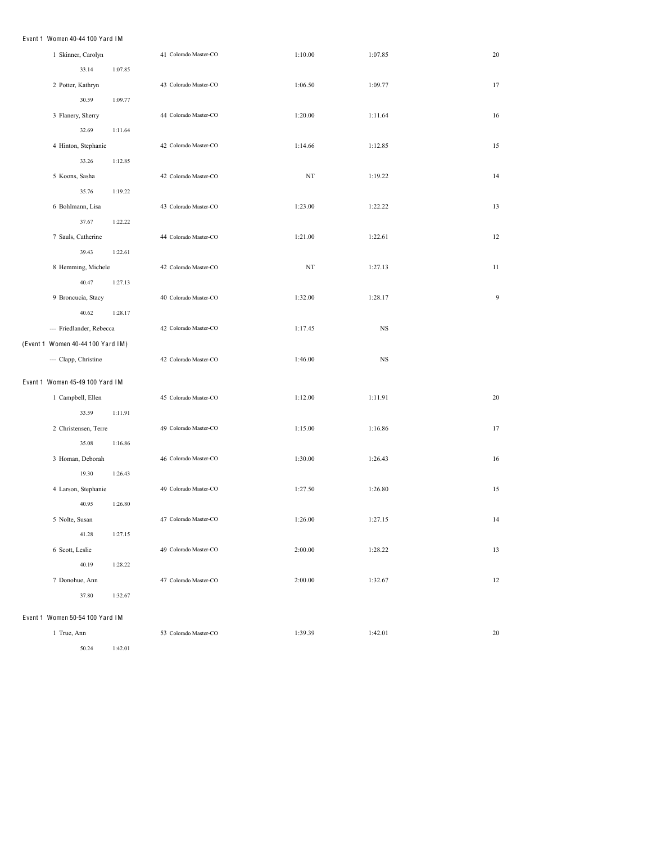### Event 1 Women 40-44 100 Yard IM

| 1 Skinner, Carolyn                |         | 41 Colorado Master-CO | 1:10.00     | 1:07.85     | 20 |
|-----------------------------------|---------|-----------------------|-------------|-------------|----|
| 33.14                             | 1:07.85 |                       |             |             |    |
| 2 Potter, Kathryn                 |         | 43 Colorado Master-CO | 1:06.50     | 1:09.77     | 17 |
| 30.59                             | 1:09.77 |                       |             |             |    |
| 3 Flanery, Sherry                 |         | 44 Colorado Master-CO | 1:20.00     | 1:11.64     | 16 |
| 32.69                             | 1:11.64 |                       |             |             |    |
| 4 Hinton, Stephanie               |         | 42 Colorado Master-CO | 1:14.66     | 1:12.85     | 15 |
| 33.26                             | 1:12.85 |                       |             |             |    |
| 5 Koons, Sasha                    |         | 42 Colorado Master-CO | $_{\rm NT}$ | 1:19.22     | 14 |
| 35.76                             | 1:19.22 |                       |             |             |    |
| 6 Bohlmann, Lisa                  |         | 43 Colorado Master-CO | 1:23.00     | 1:22.22     | 13 |
| 37.67                             | 1:22.22 |                       |             |             |    |
| 7 Sauls, Catherine                |         | 44 Colorado Master-CO | 1:21.00     | 1:22.61     | 12 |
| 39.43                             | 1:22.61 |                       |             |             |    |
| 8 Hemming, Michele                |         | 42 Colorado Master-CO | $_{\rm NT}$ | 1:27.13     | 11 |
| 40.47                             | 1:27.13 |                       |             |             |    |
| 9 Broncucia, Stacy                |         | 40 Colorado Master-CO | 1:32.00     | 1:28.17     | 9  |
| 40.62                             | 1:28.17 |                       |             |             |    |
| --- Friedlander, Rebecca          |         | 42 Colorado Master-CO | 1:17.45     | $_{\rm NS}$ |    |
| (Event 1 Women 40-44 100 Yard IM) |         |                       |             |             |    |
| --- Clapp, Christine              |         | 42 Colorado Master-CO | 1:46.00     | $_{\rm NS}$ |    |
| Event 1 Women 45-49 100 Yard IM   |         |                       |             |             |    |
| 1 Campbell, Ellen                 |         | 45 Colorado Master-CO | 1:12.00     | 1:11.91     | 20 |
| 33.59                             | 1:11.91 |                       |             |             |    |
| 2 Christensen, Terre              |         | 49 Colorado Master-CO | 1:15.00     | 1:16.86     | 17 |
| 35.08                             | 1:16.86 |                       |             |             |    |
| 3 Homan, Deborah                  |         | 46 Colorado Master-CO | 1:30.00     | 1:26.43     | 16 |
| 19.30                             | 1:26.43 |                       |             |             |    |
| 4 Larson, Stephanie               |         | 49 Colorado Master-CO | 1:27.50     | 1:26.80     | 15 |
| 40.95                             | 1:26.80 |                       |             |             |    |
| 5 Nolte, Susan                    |         | 47 Colorado Master-CO | 1:26.00     | 1:27.15     | 14 |
| 41.28                             | 1:27.15 |                       |             |             |    |
| 6 Scott, Leslie                   |         | 49 Colorado Master-CO | 2:00.00     | 1:28.22     | 13 |
| 40.19                             | 1:28.22 |                       |             |             |    |
| 7 Donohue, Ann                    |         | 47 Colorado Master-CO | 2:00.00     | 1:32.67     | 12 |
| 37.80                             | 1:32.67 |                       |             |             |    |
| Event 1 Women 50-54 100 Yard IM   |         |                       |             |             |    |
| 1 True, Ann                       |         | 53 Colorado Master-CO | 1:39.39     | 1:42.01     | 20 |
|                                   |         |                       |             |             |    |

50.24 1:42.01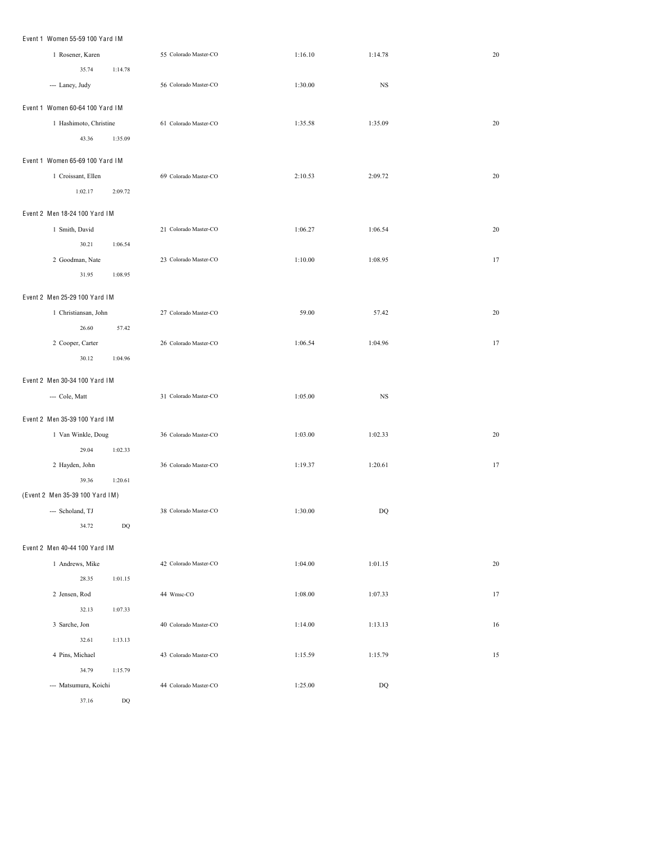| Event 1 Women 55-59 100 Yard IM |                       |         |                        |    |
|---------------------------------|-----------------------|---------|------------------------|----|
| 1 Rosener, Karen                | 55 Colorado Master-CO | 1:16.10 | 1:14.78                | 20 |
| 35.74<br>1:14.78                |                       |         |                        |    |
| --- Laney, Judy                 | 56 Colorado Master-CO | 1:30.00 | $_{\rm NS}$            |    |
| Event 1 Women 60-64 100 Yard IM |                       |         |                        |    |
| 1 Hashimoto, Christine          | 61 Colorado Master-CO | 1:35.58 | 1:35.09                | 20 |
| 43.36<br>1:35.09                |                       |         |                        |    |
| Event 1 Women 65-69 100 Yard IM |                       |         |                        |    |
| 1 Croissant, Ellen              | 69 Colorado Master-CO | 2:10.53 | 2:09.72                | 20 |
| 1:02.17<br>2:09.72              |                       |         |                        |    |
| Event 2 Men 18-24 100 Yard IM   |                       |         |                        |    |
| 1 Smith, David                  | 21 Colorado Master-CO | 1:06.27 | 1:06.54                | 20 |
| 30.21<br>1:06.54                |                       |         |                        |    |
| 2 Goodman, Nate                 | 23 Colorado Master-CO | 1:10.00 | 1:08.95                | 17 |
| 31.95<br>1:08.95                |                       |         |                        |    |
| Event 2 Men 25-29 100 Yard IM   |                       |         |                        |    |
| 1 Christiansan, John            | 27 Colorado Master-CO | 59.00   | 57.42                  | 20 |
| 26.60<br>57.42                  |                       |         |                        |    |
| 2 Cooper, Carter                | 26 Colorado Master-CO | 1:06.54 | 1:04.96                | 17 |
| 30.12<br>1:04.96                |                       |         |                        |    |
| Event 2 Men 30-34 100 Yard IM   |                       |         |                        |    |
| --- Cole, Matt                  | 31 Colorado Master-CO | 1:05.00 | $_{\rm NS}$            |    |
| Event 2 Men 35-39 100 Yard IM   |                       |         |                        |    |
| 1 Van Winkle, Doug              | 36 Colorado Master-CO | 1:03.00 | 1:02.33                | 20 |
| 29.04<br>1:02.33                |                       |         |                        |    |
| 2 Hayden, John                  | 36 Colorado Master-CO | 1:19.37 | 1:20.61                | 17 |
| 39.36<br>1:20.61                |                       |         |                        |    |
| (Event 2 Men 35-39 100 Yard IM) |                       |         |                        |    |
| --- Scholand, TJ                | 38 Colorado Master-CO | 1:30.00 | $\mathbf{D}\mathbf{Q}$ |    |
| 34.72<br>$\rm DQ$               |                       |         |                        |    |
| Event 2 Men 40-44 100 Yard IM   |                       |         |                        |    |
| 1 Andrews, Mike                 | 42 Colorado Master-CO | 1:04.00 | 1:01.15                | 20 |
| 28.35<br>1:01.15                |                       |         |                        |    |
| 2 Jensen, Rod                   | 44 Wmsc-CO            | 1:08.00 | 1:07.33                | 17 |
| 32.13<br>1:07.33                |                       |         |                        |    |
| 3 Sarche, Jon                   | 40 Colorado Master-CO | 1:14.00 | 1:13.13                | 16 |
| 32.61<br>1:13.13                |                       |         |                        |    |
| 4 Pins, Michael                 | 43 Colorado Master-CO | 1:15.59 | 1:15.79                | 15 |
| 34.79<br>1:15.79                |                       |         |                        |    |
| --- Matsumura, Koichi           | 44 Colorado Master-CO | 1:25.00 | $\rm DQ$               |    |
|                                 |                       |         |                        |    |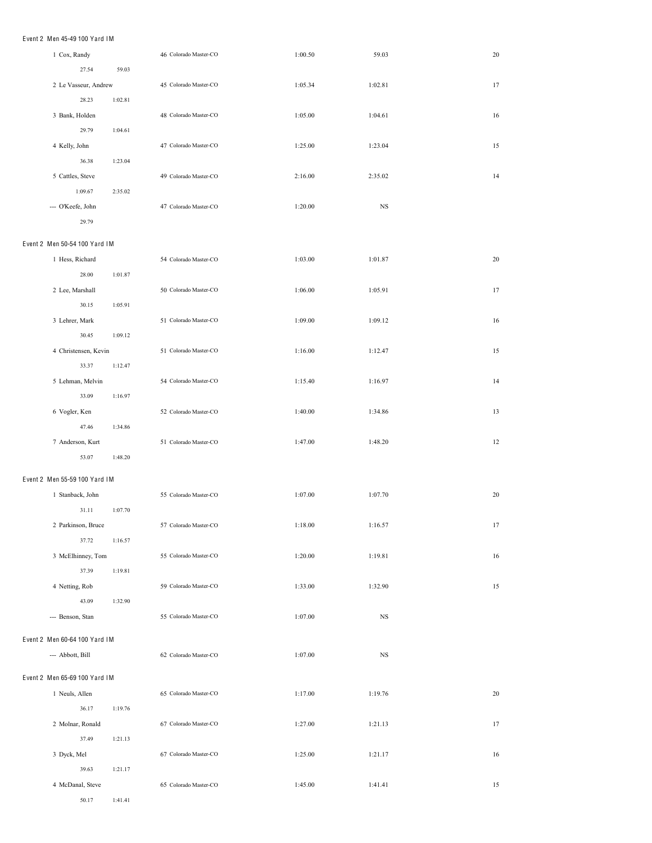## Event 2 Men 45-49 100 Yard IM

| 1 Cox, Randy                  |         | 46 Colorado Master-CO | 1:00.50 | 59.03     | 20 |
|-------------------------------|---------|-----------------------|---------|-----------|----|
| 27.54                         | 59.03   |                       |         |           |    |
| 2 Le Vasseur, Andrew          |         | 45 Colorado Master-CO | 1:05.34 | 1:02.81   | 17 |
| 28.23                         | 1:02.81 |                       |         |           |    |
| 3 Bank, Holden                |         | 48 Colorado Master-CO | 1:05.00 | 1:04.61   | 16 |
| 29.79                         | 1:04.61 |                       |         |           |    |
| 4 Kelly, John                 |         | 47 Colorado Master-CO | 1:25.00 | 1:23.04   | 15 |
| 36.38                         | 1:23.04 |                       |         |           |    |
| 5 Cattles, Steve              |         | 49 Colorado Master-CO | 2:16.00 | 2:35.02   | 14 |
| 1:09.67                       | 2:35.02 |                       |         |           |    |
| --- O'Keefe, John             |         | 47 Colorado Master-CO | 1:20.00 | NS        |    |
| 29.79                         |         |                       |         |           |    |
|                               |         |                       |         |           |    |
| Event 2 Men 50-54 100 Yard IM |         |                       |         |           |    |
| 1 Hess, Richard               |         | 54 Colorado Master-CO | 1:03.00 | 1:01.87   | 20 |
| 28.00                         | 1:01.87 |                       |         |           |    |
| 2 Lee, Marshall               |         | 50 Colorado Master-CO | 1:06.00 | 1:05.91   | 17 |
| 30.15                         | 1:05.91 |                       |         |           |    |
| 3 Lehrer, Mark                |         | 51 Colorado Master-CO | 1:09.00 | 1:09.12   | 16 |
| 30.45                         | 1:09.12 |                       |         |           |    |
| 4 Christensen, Kevin          |         | 51 Colorado Master-CO | 1:16.00 | 1:12.47   | 15 |
| 33.37                         | 1:12.47 |                       |         |           |    |
| 5 Lehman, Melvin              |         | 54 Colorado Master-CO | 1:15.40 | 1:16.97   | 14 |
| 33.09                         | 1:16.97 |                       |         |           |    |
| 6 Vogler, Ken                 |         | 52 Colorado Master-CO | 1:40.00 | 1:34.86   | 13 |
| 47.46                         | 1:34.86 |                       |         |           |    |
| 7 Anderson, Kurt              |         | 51 Colorado Master-CO | 1:47.00 | 1:48.20   | 12 |
| 53.07                         | 1:48.20 |                       |         |           |    |
| Event 2 Men 55-59 100 Yard IM |         |                       |         |           |    |
| 1 Stanback, John              |         | 55 Colorado Master-CO | 1:07.00 | 1:07.70   | 20 |
| 31.11                         | 1:07.70 |                       |         |           |    |
| 2 Parkinson, Bruce            |         | 57 Colorado Master-CO | 1:18.00 | 1:16.57   | 17 |
| 37.72                         | 1:16.57 |                       |         |           |    |
| 3 McElhinney, Tom             |         | 55 Colorado Master-CO | 1:20.00 | 1:19.81   | 16 |
| 37.39                         | 1:19.81 |                       |         |           |    |
| 4 Netting, Rob                |         | 59 Colorado Master-CO | 1:33.00 | 1:32.90   | 15 |
| 43.09                         | 1:32.90 |                       |         |           |    |
| --- Benson, Stan              |         | 55 Colorado Master-CO | 1:07.00 | <b>NS</b> |    |
|                               |         |                       |         |           |    |
| Event 2 Men 60-64 100 Yard IM |         |                       |         |           |    |
| --- Abbott, Bill              |         | 62 Colorado Master-CO | 1:07.00 | NS        |    |
| Event 2 Men 65-69 100 Yard IM |         |                       |         |           |    |
| 1 Neuls, Allen                |         | 65 Colorado Master-CO | 1:17.00 | 1:19.76   | 20 |
|                               |         |                       |         |           |    |
| 36.17                         | 1:19.76 |                       |         |           |    |
| 2 Molnar, Ronald              |         | 67 Colorado Master-CO | 1:27.00 | 1:21.13   | 17 |
| 37.49                         | 1:21.13 |                       |         |           |    |
| 3 Dyck, Mel                   |         | 67 Colorado Master-CO | 1:25.00 | 1:21.17   | 16 |
| 39.63                         | 1:21.17 |                       |         |           |    |
| 4 McDanal, Steve              |         | 65 Colorado Master-CO | 1:45.00 | 1:41.41   | 15 |
| 50.17                         | 1:41.41 |                       |         |           |    |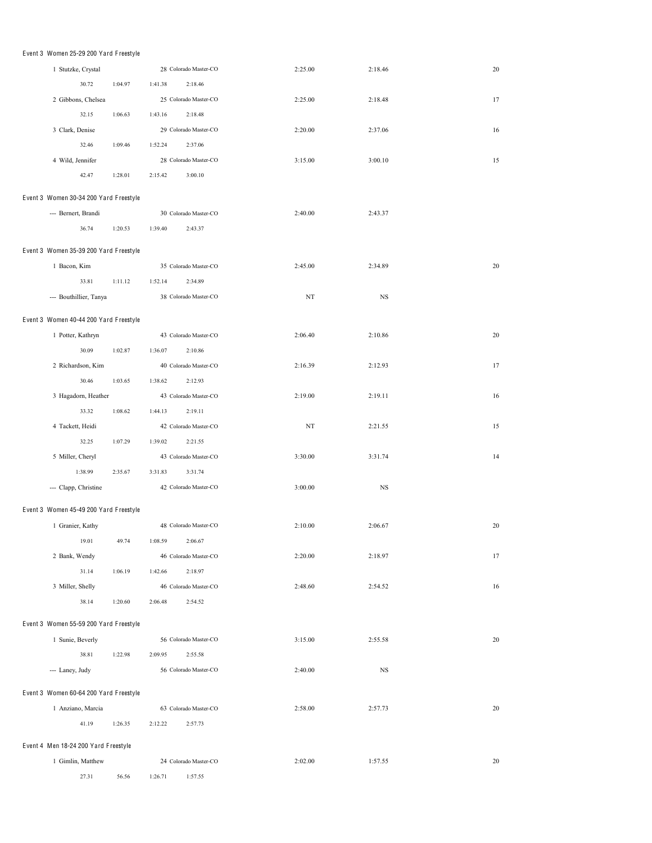| Event 3 Women 25-29 200 Yard Freestyle |         |         |                       |             |           |    |
|----------------------------------------|---------|---------|-----------------------|-------------|-----------|----|
| 1 Stutzke, Crystal                     |         |         | 28 Colorado Master-CO | 2:25.00     | 2:18.46   | 20 |
| 30.72                                  | 1:04.97 | 1:41.38 | 2:18.46               |             |           |    |
| 2 Gibbons, Chelsea                     |         |         | 25 Colorado Master-CO | 2:25.00     | 2:18.48   | 17 |
|                                        |         |         |                       |             |           |    |
| 32.15                                  | 1:06.63 | 1:43.16 | 2:18.48               |             |           |    |
| 3 Clark, Denise                        |         |         | 29 Colorado Master-CO | 2:20.00     | 2:37.06   | 16 |
| 32.46                                  | 1:09.46 | 1:52.24 | 2:37.06               |             |           |    |
| 4 Wild, Jennifer                       |         |         | 28 Colorado Master-CO | 3:15.00     | 3:00.10   | 15 |
| 42.47                                  | 1:28.01 | 2:15.42 | 3:00.10               |             |           |    |
| Event 3 Women 30-34 200 Yard Freestyle |         |         |                       |             |           |    |
| --- Bernert, Brandi                    |         |         | 30 Colorado Master-CO | 2:40.00     | 2:43.37   |    |
| 36.74                                  | 1:20.53 | 1:39.40 | 2:43.37               |             |           |    |
|                                        |         |         |                       |             |           |    |
| Event 3 Women 35-39 200 Yard Freestyle |         |         |                       |             |           |    |
| 1 Bacon, Kim                           |         |         | 35 Colorado Master-CO | 2:45.00     | 2:34.89   | 20 |
| 33.81                                  | 1:11.12 | 1:52.14 | 2:34.89               |             |           |    |
| --- Bouthillier, Tanya                 |         |         | 38 Colorado Master-CO | $_{\rm NT}$ | NS        |    |
|                                        |         |         |                       |             |           |    |
| Event 3 Women 40-44 200 Yard Freestyle |         |         |                       |             |           |    |
| 1 Potter, Kathryn                      |         |         | 43 Colorado Master-CO | 2:06.40     | 2:10.86   | 20 |
| 30.09                                  | 1:02.87 | 1:36.07 | 2:10.86               |             |           |    |
| 2 Richardson, Kim                      |         |         | 40 Colorado Master-CO | 2:16.39     | 2:12.93   | 17 |
| 30.46                                  | 1:03.65 | 1:38.62 | 2:12.93               |             |           |    |
| 3 Hagadorn, Heather                    |         |         | 43 Colorado Master-CO | 2:19.00     | 2:19.11   | 16 |
| 33.32                                  | 1:08.62 | 1:44.13 | 2:19.11               |             |           |    |
| 4 Tackett, Heidi                       |         |         | 42 Colorado Master-CO | NT          | 2:21.55   | 15 |
| 32.25                                  | 1:07.29 | 1:39.02 | 2:21.55               |             |           |    |
| 5 Miller, Cheryl                       |         |         | 43 Colorado Master-CO | 3:30.00     | 3:31.74   | 14 |
| 1:38.99                                | 2:35.67 | 3:31.83 | 3:31.74               |             |           |    |
| --- Clapp, Christine                   |         |         | 42 Colorado Master-CO | 3:00.00     | <b>NS</b> |    |
|                                        |         |         |                       |             |           |    |
| Event 3 Women 45-49 200 Yard Freestyle |         |         |                       |             |           |    |
| 1 Granier, Kathy                       |         |         | 48 Colorado Master-CO | 2:10.00     | 2:06.67   | 20 |
| 19.01                                  | 49.74   | 1:08.59 | 2:06.67               |             |           |    |
| 2 Bank, Wendy                          |         |         | 46 Colorado Master-CO | 2:20.00     | 2:18.97   | 17 |
| 31.14                                  | 1:06.19 | 1:42.66 | 2:18.97               |             |           |    |
| 3 Miller, Shelly                       |         |         | 46 Colorado Master-CO | 2:48.60     | 2:54.52   | 16 |
| 38.14                                  | 1:20.60 | 2:06.48 | 2:54.52               |             |           |    |
| Event 3 Women 55-59 200 Yard Freestyle |         |         |                       |             |           |    |
| 1 Sunie, Beverly                       |         |         | 56 Colorado Master-CO | 3:15.00     | 2:55.58   | 20 |
| 38.81                                  | 1:22.98 | 2:09.95 | 2:55.58               |             |           |    |
|                                        |         |         |                       |             |           |    |
| --- Laney, Judy                        |         |         | 56 Colorado Master-CO | 2:40.00     | NS        |    |
| Event 3 Women 60-64 200 Yard Freestyle |         |         |                       |             |           |    |
| 1 Anziano, Marcia                      |         |         | 63 Colorado Master-CO | 2:58.00     | 2:57.73   | 20 |
| 41.19                                  | 1:26.35 | 2:12.22 | 2:57.73               |             |           |    |
|                                        |         |         |                       |             |           |    |
| Event 4 Men 18-24 200 Yard Freestyle   |         |         |                       |             |           |    |
| 1 Gimlin, Matthew                      |         |         | 24 Colorado Master-CO | 2:02.00     | 1:57.55   | 20 |
| 27.31                                  | 56.56   | 1:26.71 | 1:57.55               |             |           |    |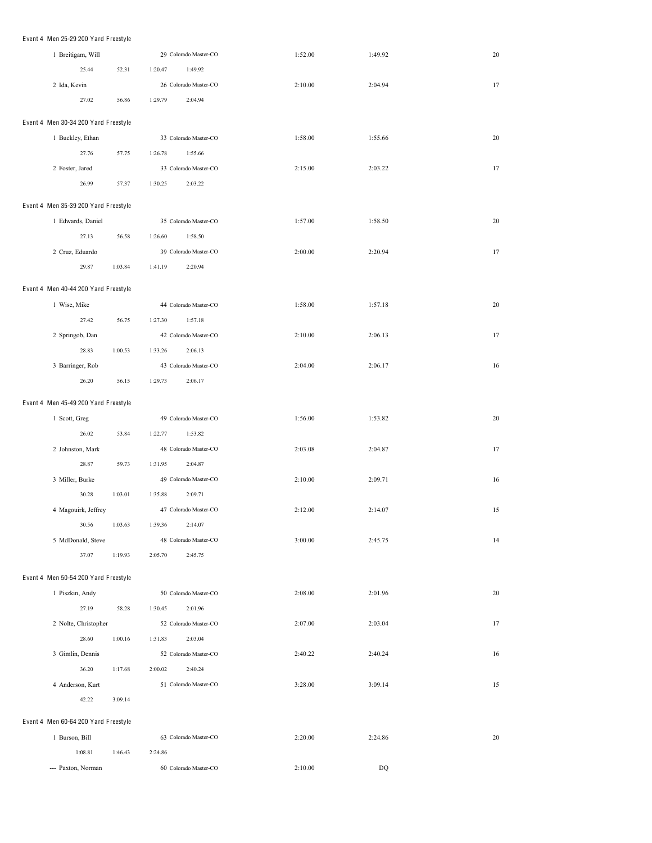| Event 4 Men 25-29 200 Yard Freestyle |         |                       |         |         |        |
|--------------------------------------|---------|-----------------------|---------|---------|--------|
| 1 Breitigam, Will                    |         | 29 Colorado Master-CO | 1:52.00 | 1:49.92 | 20     |
| 25.44                                | 52.31   | 1:20.47<br>1:49.92    |         |         |        |
| 2 Ida, Kevin                         |         | 26 Colorado Master-CO | 2:10.00 | 2:04.94 | 17     |
| 27.02                                | 56.86   | 1:29.79<br>2:04.94    |         |         |        |
| Event 4 Men 30-34 200 Yard Freestyle |         |                       |         |         |        |
| 1 Buckley, Ethan                     |         | 33 Colorado Master-CO | 1:58.00 | 1:55.66 | 20     |
| 27.76                                | 57.75   | 1:55.66<br>1:26.78    |         |         |        |
| 2 Foster, Jared                      |         | 33 Colorado Master-CO | 2:15.00 | 2:03.22 | 17     |
| 26.99                                | 57.37   | 1:30.25<br>2:03.22    |         |         |        |
| Event 4 Men 35-39 200 Yard Freestyle |         |                       |         |         |        |
| 1 Edwards, Daniel                    |         | 35 Colorado Master-CO | 1:57.00 | 1:58.50 | 20     |
| 27.13                                | 56.58   | 1:26.60<br>1:58.50    |         |         |        |
| 2 Cruz, Eduardo                      |         | 39 Colorado Master-CO | 2:00.00 | 2:20.94 | 17     |
| 29.87                                | 1:03.84 | 1:41.19<br>2:20.94    |         |         |        |
|                                      |         |                       |         |         |        |
| Event 4 Men 40-44 200 Yard Freestyle |         |                       |         |         |        |
| 1 Wise, Mike                         |         | 44 Colorado Master-CO | 1:58.00 | 1:57.18 | $20\,$ |
| 27.42                                | 56.75   | 1:27.30<br>1:57.18    |         |         |        |
| 2 Springob, Dan                      |         | 42 Colorado Master-CO | 2:10.00 | 2:06.13 | 17     |
| 28.83                                | 1:00.53 | 1:33.26<br>2:06.13    |         |         |        |
| 3 Barringer, Rob                     |         | 43 Colorado Master-CO | 2:04.00 | 2:06.17 | 16     |
| 26.20                                | 56.15   | 1:29.73<br>2:06.17    |         |         |        |
| Event 4 Men 45-49 200 Yard Freestyle |         |                       |         |         |        |
| 1 Scott, Greg                        |         | 49 Colorado Master-CO | 1:56.00 | 1:53.82 | 20     |
| 26.02                                | 53.84   | 1:22.77<br>1:53.82    |         |         |        |
| 2 Johnston, Mark                     |         | 48 Colorado Master-CO | 2:03.08 | 2:04.87 | 17     |
| 28.87                                | 59.73   | 1:31.95<br>2:04.87    |         |         |        |
| 3 Miller, Burke                      |         | 49 Colorado Master-CO | 2:10.00 | 2:09.71 | 16     |
| 30.28                                | 1:03.01 | 1:35.88<br>2:09.71    |         |         |        |
| 4 Magouirk, Jeffrey                  |         | 47 Colorado Master-CO | 2:12.00 | 2:14.07 | 15     |
| 30.56                                | 1:03.63 | 1:39.36<br>2:14.07    |         |         |        |
| 5 MdDonald, Steve                    |         | 48 Colorado Master-CO | 3:00.00 | 2:45.75 | 14     |
| 37.07                                | 1:19.93 | 2:45.75<br>2:05.70    |         |         |        |
| Event 4 Men 50-54 200 Yard Freestyle |         |                       |         |         |        |
| 1 Piszkin, Andy                      |         | 50 Colorado Master-CO | 2:08.00 | 2:01.96 | 20     |
| 27.19                                | 58.28   | 1:30.45<br>2:01.96    |         |         |        |
| 2 Nolte, Christopher                 |         | 52 Colorado Master-CO | 2:07.00 | 2:03.04 | 17     |
| 28.60                                | 1:00.16 | 1:31.83<br>2:03.04    |         |         |        |
| 3 Gimlin, Dennis                     |         | 52 Colorado Master-CO | 2:40.22 | 2:40.24 | 16     |
| 36.20                                | 1:17.68 | 2:00.02<br>2:40.24    |         |         |        |
| 4 Anderson, Kurt                     |         | 51 Colorado Master-CO | 3:28.00 | 3:09.14 | 15     |
| 42.22                                | 3:09.14 |                       |         |         |        |
|                                      |         |                       |         |         |        |
| Event 4 Men 60-64 200 Yard Freestyle |         |                       |         |         |        |
| 1 Burson, Bill                       |         | 63 Colorado Master-CO | 2:20.00 | 2:24.86 | 20     |
| 1:08.81                              | 1:46.43 | 2:24.86               |         |         |        |
| --- Paxton, Norman                   |         | 60 Colorado Master-CO | 2:10.00 | DQ      |        |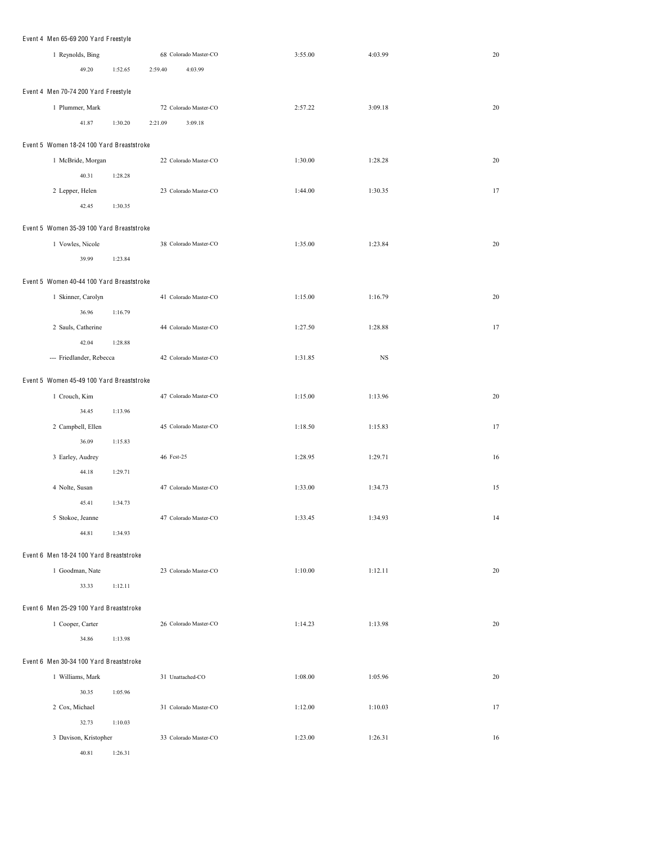| Event 4 Men 65-69 200 Yard Freestyle      |         |            |                       |         |             |    |
|-------------------------------------------|---------|------------|-----------------------|---------|-------------|----|
| 1 Reynolds, Bing                          |         |            | 68 Colorado Master-CO | 3:55.00 | 4:03.99     | 20 |
| 49.20                                     | 1:52.65 | 2:59.40    | 4:03.99               |         |             |    |
| Event 4 Men 70-74 200 Yard Freestyle      |         |            |                       |         |             |    |
| 1 Plummer, Mark                           |         |            | 72 Colorado Master-CO | 2:57.22 | 3:09.18     | 20 |
|                                           |         |            |                       |         |             |    |
| 41.87                                     | 1:30.20 | 2:21.09    | 3:09.18               |         |             |    |
| Event 5 Women 18-24 100 Yard Breaststroke |         |            |                       |         |             |    |
| 1 McBride, Morgan                         |         |            | 22 Colorado Master-CO | 1:30.00 | 1:28.28     | 20 |
| 40.31                                     | 1:28.28 |            |                       |         |             |    |
| 2 Lepper, Helen                           |         |            | 23 Colorado Master-CO | 1:44.00 | 1:30.35     | 17 |
| 42.45                                     | 1:30.35 |            |                       |         |             |    |
| Event 5 Women 35-39 100 Yard Breaststroke |         |            |                       |         |             |    |
| 1 Vowles, Nicole                          |         |            | 38 Colorado Master-CO | 1:35.00 | 1:23.84     | 20 |
| 39.99                                     | 1:23.84 |            |                       |         |             |    |
|                                           |         |            |                       |         |             |    |
| Event 5 Women 40-44 100 Yard Breaststroke |         |            |                       |         |             |    |
| 1 Skinner, Carolyn                        |         |            | 41 Colorado Master-CO | 1:15.00 | 1:16.79     | 20 |
| 36.96                                     | 1:16.79 |            |                       |         |             |    |
| 2 Sauls, Catherine                        |         |            | 44 Colorado Master-CO | 1:27.50 | 1:28.88     | 17 |
| 42.04                                     | 1:28.88 |            |                       |         |             |    |
| --- Friedlander, Rebecca                  |         |            | 42 Colorado Master-CO | 1:31.85 | $_{\rm NS}$ |    |
| Event 5 Women 45-49 100 Yard Breaststroke |         |            |                       |         |             |    |
| 1 Crouch, Kim                             |         |            | 47 Colorado Master-CO | 1:15.00 | 1:13.96     | 20 |
| 34.45                                     | 1:13.96 |            |                       |         |             |    |
| 2 Campbell, Ellen                         |         |            | 45 Colorado Master-CO | 1:18.50 | 1:15.83     | 17 |
| 36.09                                     | 1:15.83 |            |                       |         |             |    |
| 3 Earley, Audrey                          |         | 46 Fest-25 |                       | 1:28.95 | 1:29.71     | 16 |
| 44.18                                     | 1:29.71 |            |                       |         |             |    |
| 4 Nolte, Susan                            |         |            | 47 Colorado Master-CO | 1:33.00 | 1:34.73     | 15 |
| 45.41                                     | 1:34.73 |            |                       |         |             |    |
| 5 Stokoe, Jeanne                          |         |            | 47 Colorado Master-CO | 1:33.45 | 1:34.93     | 14 |
| 44.81                                     | 1:34.93 |            |                       |         |             |    |
| Event 6 Men 18-24 100 Yard Breaststroke   |         |            |                       |         |             |    |
| 1 Goodman, Nate                           |         |            | 23 Colorado Master-CO | 1:10.00 | 1:12.11     | 20 |
| 33.33                                     | 1:12.11 |            |                       |         |             |    |
|                                           |         |            |                       |         |             |    |
| Event 6 Men 25-29 100 Yard Breaststroke   |         |            |                       |         |             |    |
| 1 Cooper, Carter                          |         |            | 26 Colorado Master-CO | 1:14.23 | 1:13.98     | 20 |
| 34.86                                     | 1:13.98 |            |                       |         |             |    |
| Event 6 Men 30-34 100 Yard Breaststroke   |         |            |                       |         |             |    |
| 1 Williams, Mark                          |         |            | 31 Unattached-CO      | 1:08.00 | 1:05.96     | 20 |
| 30.35                                     | 1:05.96 |            |                       |         |             |    |
| 2 Cox, Michael                            |         |            | 31 Colorado Master-CO | 1:12.00 | 1:10.03     | 17 |
| 32.73                                     | 1:10.03 |            |                       |         |             |    |
| 3 Davison, Kristopher                     |         |            | 33 Colorado Master-CO | 1:23.00 | 1:26.31     | 16 |
| 40.81                                     | 1:26.31 |            |                       |         |             |    |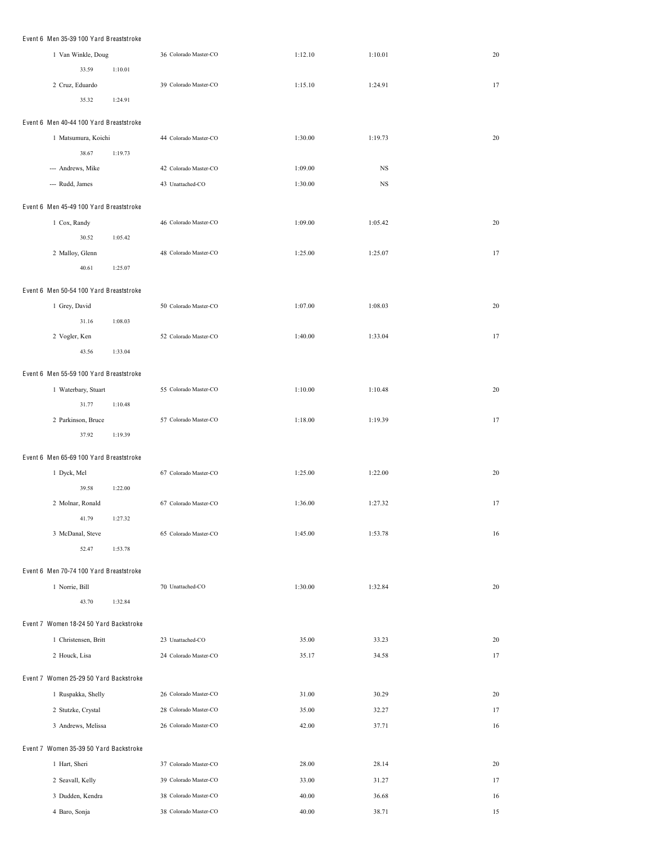| Event 6 Men 35-39 100 Yard Breaststroke |         |                       |         |             |    |  |  |
|-----------------------------------------|---------|-----------------------|---------|-------------|----|--|--|
| 1 Van Winkle, Doug                      |         | 36 Colorado Master-CO | 1:12.10 | 1:10.01     | 20 |  |  |
| 33.59                                   | 1:10.01 |                       |         |             |    |  |  |
| 2 Cruz, Eduardo                         |         | 39 Colorado Master-CO | 1:15.10 | 1:24.91     | 17 |  |  |
| 35.32                                   | 1:24.91 |                       |         |             |    |  |  |
| Event 6 Men 40-44 100 Yard Breaststroke |         |                       |         |             |    |  |  |
| 1 Matsumura, Koichi                     |         | 44 Colorado Master-CO | 1:30.00 | 1:19.73     | 20 |  |  |
| 38.67                                   | 1:19.73 |                       |         |             |    |  |  |
| --- Andrews, Mike                       |         | 42 Colorado Master-CO | 1:09.00 | $_{\rm NS}$ |    |  |  |
| --- Rudd, James                         |         | 43 Unattached-CO      | 1:30.00 | $_{\rm NS}$ |    |  |  |
| Event 6 Men 45-49 100 Yard Breaststroke |         |                       |         |             |    |  |  |
| 1 Cox, Randy                            |         | 46 Colorado Master-CO | 1:09.00 | 1:05.42     | 20 |  |  |
| 30.52                                   | 1:05.42 |                       |         |             |    |  |  |
| 2 Malloy, Glenn                         |         | 48 Colorado Master-CO | 1:25.00 | 1:25.07     | 17 |  |  |
| 40.61                                   | 1:25.07 |                       |         |             |    |  |  |
| Event 6 Men 50-54 100 Yard Breaststroke |         |                       |         |             |    |  |  |
| 1 Grey, David                           |         | 50 Colorado Master-CO | 1:07.00 | 1:08.03     | 20 |  |  |
| 31.16                                   | 1:08.03 |                       |         |             |    |  |  |
| 2 Vogler, Ken                           |         | 52 Colorado Master-CO | 1:40.00 | 1:33.04     | 17 |  |  |
| 43.56                                   | 1:33.04 |                       |         |             |    |  |  |
| Event 6 Men 55-59 100 Yard Breaststroke |         |                       |         |             |    |  |  |
| 1 Waterbary, Stuart                     |         | 55 Colorado Master-CO | 1:10.00 | 1:10.48     | 20 |  |  |
| 31.77                                   | 1:10.48 |                       |         |             |    |  |  |
| 2 Parkinson, Bruce                      |         | 57 Colorado Master-CO | 1:18.00 | 1:19.39     | 17 |  |  |
| 37.92                                   | 1:19.39 |                       |         |             |    |  |  |
| Event 6 Men 65-69 100 Yard Breaststroke |         |                       |         |             |    |  |  |
| 1 Dyck, Mel                             |         | 67 Colorado Master-CO | 1:25.00 | 1:22.00     | 20 |  |  |
| 39.58                                   | 1:22.00 |                       |         |             |    |  |  |
| 2 Molnar, Ronald                        |         | 67 Colorado Master-CO | 1:36.00 | 1:27.32     | 17 |  |  |
| 41.79                                   | 1:27.32 |                       |         |             |    |  |  |
| 3 McDanal, Steve                        |         | 65 Colorado Master-CO | 1:45.00 | 1:53.78     | 16 |  |  |
| 52.47                                   | 1:53.78 |                       |         |             |    |  |  |
| Event 6 Men 70-74 100 Yard Breaststroke |         |                       |         |             |    |  |  |
| 1 Norrie, Bill                          |         | 70 Unattached-CO      | 1:30.00 | 1:32.84     | 20 |  |  |
| 43.70                                   | 1:32.84 |                       |         |             |    |  |  |
| Event 7 Women 18-24 50 Yard Backstroke  |         |                       |         |             |    |  |  |
| 1 Christensen, Britt                    |         | 23 Unattached-CO      | 35.00   | 33.23       | 20 |  |  |
| 2 Houck, Lisa                           |         | 24 Colorado Master-CO | 35.17   | 34.58       | 17 |  |  |
|                                         |         |                       |         |             |    |  |  |
| Event 7 Women 25-29 50 Yard Backstroke  |         |                       |         |             |    |  |  |
| 1 Ruspakka, Shelly                      |         | 26 Colorado Master-CO | 31.00   | 30.29       | 20 |  |  |
| 2 Stutzke, Crystal                      |         | 28 Colorado Master-CO | 35.00   | 32.27       | 17 |  |  |
| 3 Andrews, Melissa                      |         | 26 Colorado Master-CO | 42.00   | 37.71       | 16 |  |  |
| Event 7 Women 35-39 50 Yard Backstroke  |         |                       |         |             |    |  |  |
| 1 Hart, Sheri                           |         | 37 Colorado Master-CO | 28.00   | 28.14       | 20 |  |  |
| 2 Seavall, Kelly                        |         | 39 Colorado Master-CO | 33.00   | 31.27       | 17 |  |  |
| 3 Dudden, Kendra                        |         | 38 Colorado Master-CO | 40.00   | 36.68       | 16 |  |  |
| 4 Baro, Sonja                           |         | 38 Colorado Master-CO | 40.00   | 38.71       | 15 |  |  |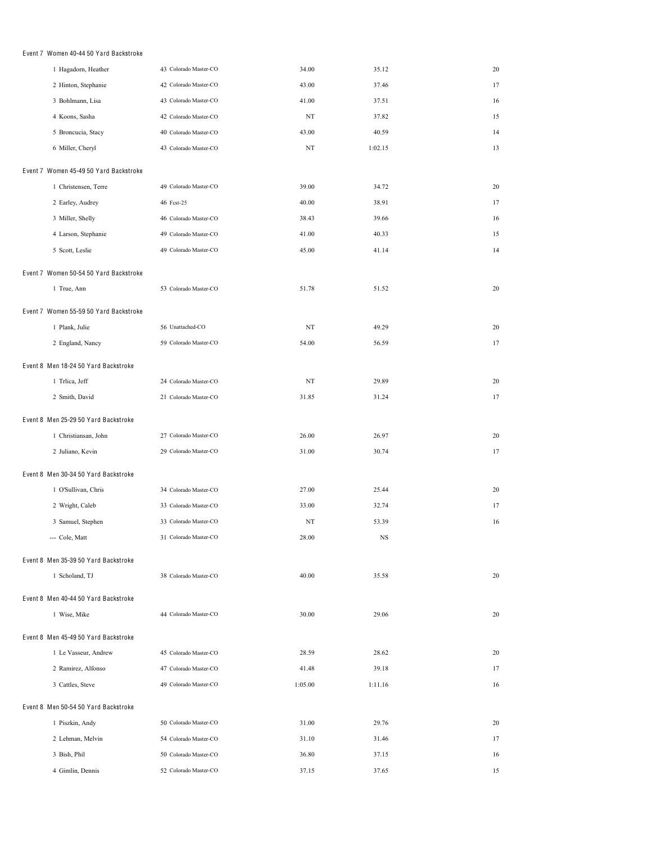| Event 7 Women 40-44 50 Yard Backstroke |                       |             |         |    |
|----------------------------------------|-----------------------|-------------|---------|----|
| 1 Hagadorn, Heather                    | 43 Colorado Master-CO | 34.00       | 35.12   | 20 |
| 2 Hinton, Stephanie                    | 42 Colorado Master-CO | 43.00       | 37.46   | 17 |
| 3 Bohlmann, Lisa                       | 43 Colorado Master-CO | 41.00       | 37.51   | 16 |
| 4 Koons, Sasha                         | 42 Colorado Master-CO | NT          | 37.82   | 15 |
| 5 Broncucia, Stacy                     | 40 Colorado Master-CO | 43.00       | 40.59   | 14 |
| 6 Miller, Cheryl                       | 43 Colorado Master-CO | $_{\rm NT}$ | 1:02.15 | 13 |
| Event 7 Women 45-49 50 Yard Backstroke |                       |             |         |    |
| 1 Christensen, Terre                   | 49 Colorado Master-CO | 39.00       | 34.72   | 20 |
| 2 Earley, Audrey                       | 46 Fest-25            | 40.00       | 38.91   | 17 |
| 3 Miller, Shelly                       | 46 Colorado Master-CO | 38.43       | 39.66   | 16 |
| 4 Larson, Stephanie                    | 49 Colorado Master-CO | 41.00       | 40.33   | 15 |
| 5 Scott, Leslie                        | 49 Colorado Master-CO | 45.00       | 41.14   | 14 |
| Event 7 Women 50-54 50 Yard Backstroke |                       |             |         |    |
| 1 True, Ann                            | 53 Colorado Master-CO | 51.78       | 51.52   | 20 |
|                                        |                       |             |         |    |
| Event 7 Women 55-59 50 Yard Backstroke |                       |             |         |    |
| 1 Plank, Julie                         | 56 Unattached-CO      | $_{\rm NT}$ | 49.29   | 20 |
| 2 England, Nancy                       | 59 Colorado Master-CO | 54.00       | 56.59   | 17 |
| Event 8 Men 18-24 50 Yard Backstroke   |                       |             |         |    |
| 1 Trlica, Jeff                         | 24 Colorado Master-CO | NT          | 29.89   | 20 |
| 2 Smith, David                         | 21 Colorado Master-CO | 31.85       | 31.24   | 17 |
| Event 8 Men 25-29 50 Yard Backstroke   |                       |             |         |    |
| 1 Christiansan, John                   | 27 Colorado Master-CO | 26.00       | 26.97   | 20 |
| 2 Juliano, Kevin                       | 29 Colorado Master-CO | 31.00       | 30.74   | 17 |
|                                        |                       |             |         |    |
| Event 8 Men 30-34 50 Yard Backstroke   |                       |             |         |    |
| 1 O'Sullivan, Chris                    | 34 Colorado Master-CO | 27.00       | 25.44   | 20 |
| 2 Wright, Caleb                        | 33 Colorado Master-CO | 33.00       | 32.74   | 17 |
| 3 Samuel, Stephen                      | 33 Colorado Master-CO | NT          | 53.39   | 16 |
| --- Cole, Matt                         | 31 Colorado Master-CO | 28.00       | NS      |    |
| Event 8 Men 35-39 50 Yard Backstroke   |                       |             |         |    |
| 1 Scholand, TJ                         | 38 Colorado Master-CO | 40.00       | 35.58   | 20 |
| Event 8 Men 40-44 50 Yard Backstroke   |                       |             |         |    |
| 1 Wise, Mike                           | 44 Colorado Master-CO | 30.00       | 29.06   | 20 |
|                                        |                       |             |         |    |
| Event 8 Men 45-49 50 Yard Backstroke   |                       |             |         |    |
| 1 Le Vasseur, Andrew                   | 45 Colorado Master-CO | 28.59       | 28.62   | 20 |
| 2 Ramirez, Alfonso                     | 47 Colorado Master-CO | 41.48       | 39.18   | 17 |
| 3 Cattles, Steve                       | 49 Colorado Master-CO | 1:05.00     | 1:11.16 | 16 |
| Event 8 Men 50-54 50 Yard Backstroke   |                       |             |         |    |
| 1 Piszkin, Andy                        | 50 Colorado Master-CO | 31.00       | 29.76   | 20 |
| 2 Lehman, Melvin                       | 54 Colorado Master-CO | 31.10       | 31.46   | 17 |
| 3 Bish, Phil                           | 50 Colorado Master-CO | 36.80       | 37.15   | 16 |
| 4 Gimlin, Dennis                       | 52 Colorado Master-CO | 37.15       | 37.65   | 15 |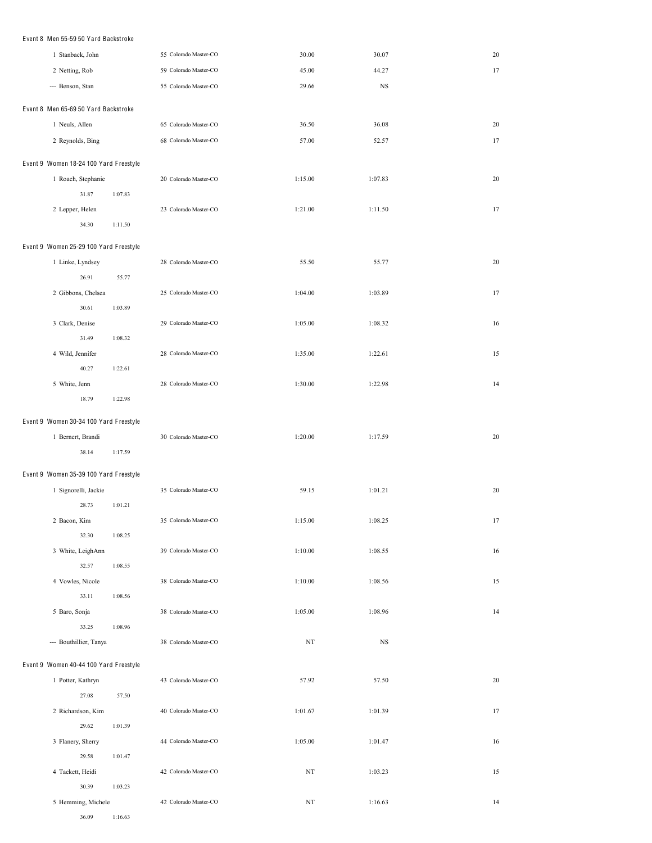| Event 8 Men 55-59 50 Yard Backstroke   |                       |             |         |        |  |  |  |
|----------------------------------------|-----------------------|-------------|---------|--------|--|--|--|
| 1 Stanback, John                       | 55 Colorado Master-CO | 30.00       | 30.07   | 20     |  |  |  |
| 2 Netting, Rob                         | 59 Colorado Master-CO | 45.00       | 44.27   | 17     |  |  |  |
| --- Benson, Stan                       | 55 Colorado Master-CO | 29.66       | NS      |        |  |  |  |
|                                        |                       |             |         |        |  |  |  |
| Event 8 Men 65-69 50 Yard Backstroke   |                       |             |         |        |  |  |  |
| 1 Neuls, Allen                         | 65 Colorado Master-CO | 36.50       | 36.08   | 20     |  |  |  |
| 2 Reynolds, Bing                       | 68 Colorado Master-CO | 57.00       | 52.57   | 17     |  |  |  |
| Event 9 Women 18-24 100 Yard Freestyle |                       |             |         |        |  |  |  |
| 1 Roach, Stephanie                     | 20 Colorado Master-CO | 1:15.00     | 1:07.83 | 20     |  |  |  |
| 31.87<br>1:07.83                       |                       |             |         |        |  |  |  |
| 2 Lepper, Helen                        | 23 Colorado Master-CO | 1:21.00     | 1:11.50 | 17     |  |  |  |
| 34.30<br>1:11.50                       |                       |             |         |        |  |  |  |
|                                        |                       |             |         |        |  |  |  |
| Event 9 Women 25-29 100 Yard Freestyle |                       |             |         |        |  |  |  |
| 1 Linke, Lyndsey                       | 28 Colorado Master-CO | 55.50       | 55.77   | 20     |  |  |  |
| 26.91<br>55.77                         |                       |             |         |        |  |  |  |
| 2 Gibbons, Chelsea                     | 25 Colorado Master-CO | 1:04.00     | 1:03.89 | 17     |  |  |  |
| 30.61<br>1:03.89                       |                       |             |         |        |  |  |  |
| 3 Clark, Denise                        | 29 Colorado Master-CO | 1:05.00     | 1:08.32 | 16     |  |  |  |
| 31.49<br>1:08.32                       |                       |             |         |        |  |  |  |
| 4 Wild, Jennifer                       | 28 Colorado Master-CO | 1:35.00     | 1:22.61 | 15     |  |  |  |
| 40.27<br>1:22.61                       |                       |             |         |        |  |  |  |
| 5 White, Jenn                          | 28 Colorado Master-CO | 1:30.00     | 1:22.98 | 14     |  |  |  |
| 18.79<br>1:22.98                       |                       |             |         |        |  |  |  |
| Event 9 Women 30-34 100 Yard Freestyle |                       |             |         |        |  |  |  |
| 1 Bernert, Brandi                      | 30 Colorado Master-CO | 1:20.00     | 1:17.59 | $20\,$ |  |  |  |
| 38.14<br>1:17.59                       |                       |             |         |        |  |  |  |
|                                        |                       |             |         |        |  |  |  |
| Event 9 Women 35-39 100 Yard Freestyle |                       |             |         |        |  |  |  |
| 1 Signorelli, Jackie                   | 35 Colorado Master-CO | 59.15       | 1:01.21 | $20\,$ |  |  |  |
| 28.73<br>1:01.21                       |                       |             |         |        |  |  |  |
| 2 Bacon, Kim                           | 35 Colorado Master-CO | 1:15.00     | 1:08.25 | 17     |  |  |  |
| 32.30<br>1:08.25                       |                       |             |         |        |  |  |  |
| 3 White, LeighAnn                      | 39 Colorado Master-CO | 1:10.00     | 1:08.55 | 16     |  |  |  |
| 32.57<br>1:08.55                       |                       |             |         |        |  |  |  |
| 4 Vowles, Nicole<br>33.11              | 38 Colorado Master-CO | 1:10.00     | 1:08.56 | 15     |  |  |  |
| 1:08.56                                |                       |             |         |        |  |  |  |
| 5 Baro, Sonja                          | 38 Colorado Master-CO | 1:05.00     | 1:08.96 | 14     |  |  |  |
| 33.25<br>1:08.96                       |                       |             |         |        |  |  |  |
| --- Bouthillier, Tanya                 | 38 Colorado Master-CO | NT          | NS      |        |  |  |  |
| Event 9 Women 40-44 100 Yard Freestyle |                       |             |         |        |  |  |  |
| 1 Potter, Kathryn                      | 43 Colorado Master-CO | 57.92       | 57.50   | 20     |  |  |  |
| 27.08<br>57.50                         |                       |             |         |        |  |  |  |
| 2 Richardson, Kim                      | 40 Colorado Master-CO | 1:01.67     | 1:01.39 | 17     |  |  |  |
| 29.62<br>1:01.39                       |                       |             |         |        |  |  |  |
| 3 Flanery, Sherry                      | 44 Colorado Master-CO | 1:05.00     | 1:01.47 | 16     |  |  |  |
| 29.58<br>1:01.47                       |                       |             |         |        |  |  |  |
| 4 Tackett, Heidi                       | 42 Colorado Master-CO | $_{\rm NT}$ | 1:03.23 | 15     |  |  |  |
| 30.39<br>1:03.23                       |                       |             |         |        |  |  |  |
| 5 Hemming, Michele                     | 42 Colorado Master-CO | NT          | 1:16.63 | 14     |  |  |  |

36.09 1:16.63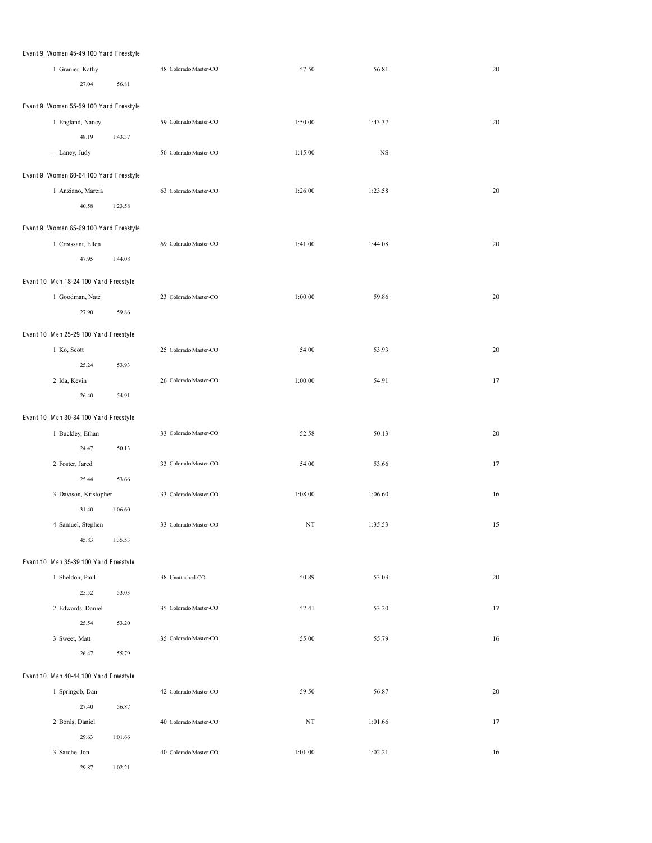| Event 9 Women 45-49 100 Yard Freestyle |         |                       |         |         |        |
|----------------------------------------|---------|-----------------------|---------|---------|--------|
| 1 Granier, Kathy                       |         | 48 Colorado Master-CO | 57.50   | 56.81   | 20     |
| 27.04                                  | 56.81   |                       |         |         |        |
|                                        |         |                       |         |         |        |
| Event 9 Women 55-59 100 Yard Freestyle |         |                       |         |         |        |
| 1 England, Nancy                       |         | 59 Colorado Master-CO | 1:50.00 | 1:43.37 | 20     |
| 48.19                                  | 1:43.37 |                       |         |         |        |
| --- Laney, Judy                        |         | 56 Colorado Master-CO | 1:15.00 | NS      |        |
| Event 9 Women 60-64 100 Yard Freestyle |         |                       |         |         |        |
|                                        |         | 63 Colorado Master-CO | 1:26.00 | 1:23.58 | $20\,$ |
| 1 Anziano, Marcia                      |         |                       |         |         |        |
| 40.58                                  | 1:23.58 |                       |         |         |        |
| Event 9 Women 65-69 100 Yard Freestyle |         |                       |         |         |        |
| 1 Croissant, Ellen                     |         | 69 Colorado Master-CO | 1:41.00 | 1:44.08 | $20\,$ |
| 47.95                                  | 1:44.08 |                       |         |         |        |
|                                        |         |                       |         |         |        |
| Event 10 Men 18-24 100 Yard Freestyle  |         |                       |         |         |        |
| 1 Goodman, Nate                        |         | 23 Colorado Master-CO | 1:00.00 | 59.86   | 20     |
| 27.90                                  | 59.86   |                       |         |         |        |
| Event 10 Men 25-29 100 Yard Freestyle  |         |                       |         |         |        |
|                                        |         |                       |         |         |        |
| 1 Ko, Scott                            |         | 25 Colorado Master-CO | 54.00   | 53.93   | 20     |
| 25.24                                  | 53.93   |                       |         |         |        |
| 2 Ida, Kevin                           |         | 26 Colorado Master-CO | 1:00.00 | 54.91   | 17     |
| 26.40                                  | 54.91   |                       |         |         |        |
| Event 10 Men 30-34 100 Yard Freestyle  |         |                       |         |         |        |
| 1 Buckley, Ethan                       |         | 33 Colorado Master-CO | 52.58   | 50.13   | 20     |
| 24.47                                  | 50.13   |                       |         |         |        |
| 2 Foster, Jared                        |         | 33 Colorado Master-CO | 54.00   | 53.66   | 17     |
| 25.44                                  | 53.66   |                       |         |         |        |
| 3 Davison, Kristopher                  |         | 33 Colorado Master-CO | 1:08.00 | 1:06.60 | 16     |
| 31.40                                  | 1:06.60 |                       |         |         |        |
|                                        |         |                       |         |         |        |
| 4 Samuel, Stephen                      |         | 33 Colorado Master-CO | NT      | 1:35.53 | 15     |
| 45.83                                  | 1:35.53 |                       |         |         |        |
| Event 10 Men 35-39 100 Yard Freestyle  |         |                       |         |         |        |
| 1 Sheldon, Paul                        |         | 38 Unattached-CO      | 50.89   | 53.03   | 20     |
| 25.52                                  | 53.03   |                       |         |         |        |
| 2 Edwards, Daniel                      |         | 35 Colorado Master-CO | 52.41   | 53.20   | 17     |
| 25.54                                  | 53.20   |                       |         |         |        |
| 3 Sweet, Matt                          |         | 35 Colorado Master-CO | 55.00   | 55.79   | 16     |
| 26.47                                  | 55.79   |                       |         |         |        |
|                                        |         |                       |         |         |        |
| Event 10 Men 40-44 100 Yard Freestyle  |         |                       |         |         |        |
| 1 Springob, Dan                        |         | 42 Colorado Master-CO | 59.50   | 56.87   | 20     |
| 27.40                                  | 56.87   |                       |         |         |        |
| 2 Bonls, Daniel                        |         | 40 Colorado Master-CO | NT      | 1:01.66 | 17     |
| 29.63                                  | 1:01.66 |                       |         |         |        |
| 3 Sarche, Jon                          |         | 40 Colorado Master-CO | 1:01.00 | 1:02.21 | 16     |
| 29.87                                  | 1:02.21 |                       |         |         |        |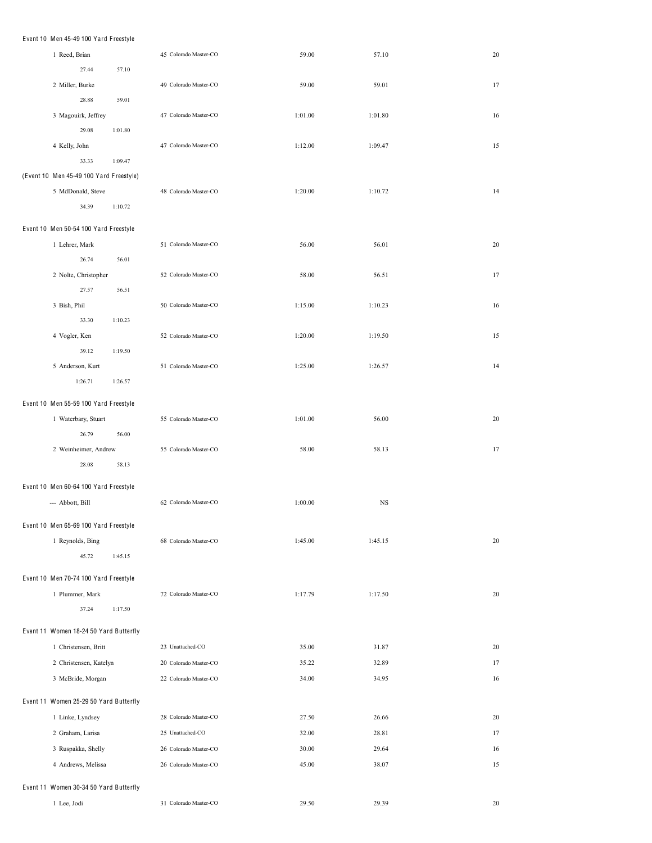| Event 10 Men 45-49 100 Yard Freestyle   |                        |         |                       |         |             |    |
|-----------------------------------------|------------------------|---------|-----------------------|---------|-------------|----|
| 1 Reed, Brian                           |                        |         | 45 Colorado Master-CO | 59.00   | 57.10       | 20 |
|                                         | 27.44                  | 57.10   |                       |         |             |    |
|                                         | 2 Miller, Burke        |         | 49 Colorado Master-CO | 59.00   | 59.01       | 17 |
|                                         | 28.88                  | 59.01   |                       |         |             |    |
|                                         | 3 Magouirk, Jeffrey    |         | 47 Colorado Master-CO | 1:01.00 | 1:01.80     | 16 |
|                                         | 29.08                  | 1:01.80 |                       |         |             |    |
| 4 Kelly, John                           |                        |         | 47 Colorado Master-CO | 1:12.00 | 1:09.47     | 15 |
|                                         | 33.33                  | 1:09.47 |                       |         |             |    |
| (Event 10 Men 45-49 100 Yard Freestyle) |                        |         |                       |         |             |    |
|                                         | 5 MdDonald, Steve      |         | 48 Colorado Master-CO | 1:20.00 | 1:10.72     | 14 |
|                                         | 34.39                  | 1:10.72 |                       |         |             |    |
| Event 10 Men 50-54 100 Yard Freestyle   |                        |         |                       |         |             |    |
| 1 Lehrer, Mark                          |                        |         | 51 Colorado Master-CO | 56.00   | 56.01       | 20 |
|                                         | 26.74                  | 56.01   |                       |         |             |    |
|                                         | 2 Nolte, Christopher   |         | 52 Colorado Master-CO | 58.00   | 56.51       | 17 |
|                                         | 27.57                  | 56.51   |                       |         |             |    |
| 3 Bish, Phil                            |                        |         | 50 Colorado Master-CO | 1:15.00 | 1:10.23     | 16 |
|                                         | 33.30                  | 1:10.23 |                       |         |             |    |
| 4 Vogler, Ken                           |                        |         | 52 Colorado Master-CO | 1:20.00 | 1:19.50     | 15 |
|                                         | 39.12                  | 1:19.50 |                       |         |             |    |
|                                         | 5 Anderson, Kurt       |         | 51 Colorado Master-CO | 1:25.00 | 1:26.57     | 14 |
|                                         | 1:26.71                | 1:26.57 |                       |         |             |    |
| Event 10 Men 55-59 100 Yard Freestyle   |                        |         |                       |         |             |    |
|                                         | 1 Waterbary, Stuart    |         | 55 Colorado Master-CO | 1:01.00 | 56.00       | 20 |
|                                         | 26.79                  | 56.00   |                       |         |             |    |
|                                         | 2 Weinheimer, Andrew   |         | 55 Colorado Master-CO | 58.00   | 58.13       | 17 |
|                                         | 28.08                  | 58.13   |                       |         |             |    |
| Event 10 Men 60-64 100 Yard Freestyle   |                        |         |                       |         |             |    |
| --- Abbott, Bill                        |                        |         | 62 Colorado Master-CO | 1:00.00 | $_{\rm NS}$ |    |
|                                         |                        |         |                       |         |             |    |
| Event 10 Men 65-69 100 Yard Freestyle   |                        |         |                       |         |             |    |
|                                         | 1 Reynolds, Bing       |         | 68 Colorado Master-CO | 1:45.00 | 1:45.15     | 20 |
|                                         | 45.72                  | 1:45.15 |                       |         |             |    |
| Event 10 Men 70-74 100 Yard Freestyle   |                        |         |                       |         |             |    |
|                                         | 1 Plummer, Mark        |         | 72 Colorado Master-CO | 1:17.79 | 1:17.50     | 20 |
|                                         | 37.24                  | 1:17.50 |                       |         |             |    |
| Event 11 Women 18-24 50 Yard Butterfly  |                        |         |                       |         |             |    |
|                                         | 1 Christensen, Britt   |         | 23 Unattached-CO      | 35.00   | 31.87       | 20 |
|                                         | 2 Christensen, Katelyn |         | 20 Colorado Master-CO | 35.22   | 32.89       | 17 |
|                                         | 3 McBride, Morgan      |         | 22 Colorado Master-CO | 34.00   | 34.95       | 16 |
|                                         |                        |         |                       |         |             |    |
| Event 11 Women 25-29 50 Yard Butterfly  |                        |         |                       |         |             |    |
|                                         | 1 Linke, Lyndsey       |         | 28 Colorado Master-CO | 27.50   | 26.66       | 20 |
|                                         | 2 Graham, Larisa       |         | 25 Unattached-CO      | 32.00   | 28.81       | 17 |
|                                         | 3 Ruspakka, Shelly     |         | 26 Colorado Master-CO | 30.00   | 29.64       | 16 |
|                                         | 4 Andrews, Melissa     |         | 26 Colorado Master-CO | 45.00   | 38.07       | 15 |
| Event 11 Women 30-34 50 Yard Butterfly  |                        |         |                       |         |             |    |
| 1 Lee, Jodi                             |                        |         | 31 Colorado Master-CO | 29.50   | 29.39       | 20 |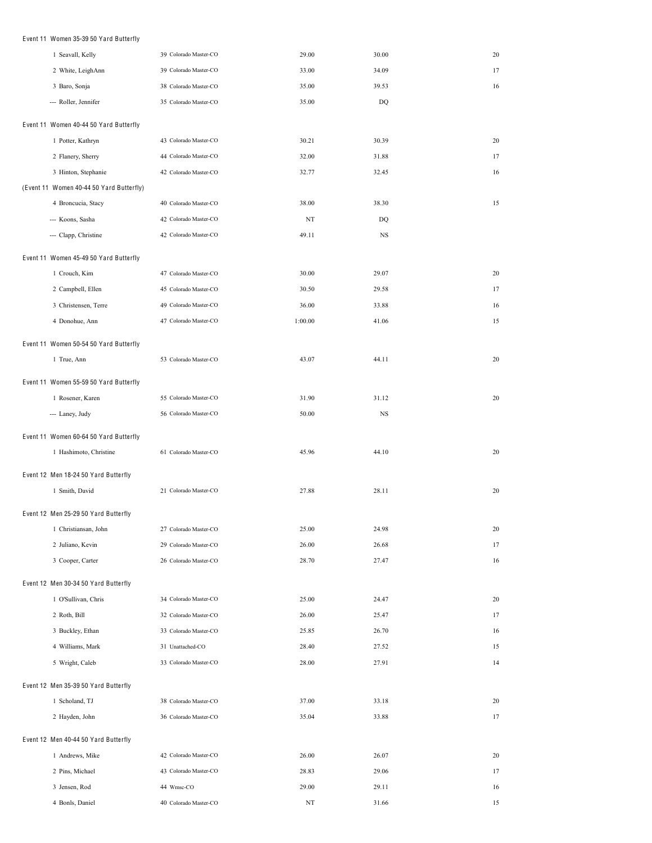| Event 11 Women 35-39 50 Yard Butterfly   |                       |         |             |    |
|------------------------------------------|-----------------------|---------|-------------|----|
| 1 Seavall, Kelly                         | 39 Colorado Master-CO | 29.00   | 30.00       | 20 |
| 2 White, LeighAnn                        | 39 Colorado Master-CO | 33.00   | 34.09       | 17 |
| 3 Baro, Sonja                            | 38 Colorado Master-CO | 35.00   | 39.53       | 16 |
| --- Roller, Jennifer                     | 35 Colorado Master-CO | 35.00   | DQ          |    |
| Event 11 Women 40-44 50 Yard Butterfly   |                       |         |             |    |
| 1 Potter, Kathryn                        | 43 Colorado Master-CO | 30.21   | 30.39       | 20 |
| 2 Flanery, Sherry                        | 44 Colorado Master-CO | 32.00   | 31.88       | 17 |
| 3 Hinton, Stephanie                      | 42 Colorado Master-CO | 32.77   | 32.45       | 16 |
| (Event 11 Women 40-44 50 Yard Butterfly) |                       |         |             |    |
| 4 Broncucia, Stacy                       | 40 Colorado Master-CO | 38.00   | 38.30       | 15 |
| --- Koons, Sasha                         | 42 Colorado Master-CO | NT      | DQ          |    |
| --- Clapp, Christine                     | 42 Colorado Master-CO | 49.11   | NS          |    |
| Event 11 Women 45-49 50 Yard Butterfly   |                       |         |             |    |
| 1 Crouch, Kim                            | 47 Colorado Master-CO | 30.00   | 29.07       | 20 |
| 2 Campbell, Ellen                        | 45 Colorado Master-CO | 30.50   | 29.58       | 17 |
| 3 Christensen, Terre                     | 49 Colorado Master-CO | 36.00   | 33.88       | 16 |
| 4 Donohue, Ann                           | 47 Colorado Master-CO | 1:00.00 | 41.06       | 15 |
|                                          |                       |         |             |    |
| Event 11 Women 50-54 50 Yard Butterfly   |                       |         |             |    |
| 1 True, Ann                              | 53 Colorado Master-CO | 43.07   | 44.11       | 20 |
| Event 11 Women 55-59 50 Yard Butterfly   |                       |         |             |    |
| 1 Rosener, Karen                         | 55 Colorado Master-CO | 31.90   | 31.12       | 20 |
| --- Laney, Judy                          | 56 Colorado Master-CO | 50.00   | $_{\rm NS}$ |    |
| Event 11 Women 60-64 50 Yard Butterfly   |                       |         |             |    |
| 1 Hashimoto, Christine                   | 61 Colorado Master-CO | 45.96   | 44.10       | 20 |
| Event 12 Men 18-24 50 Yard Butterfly     |                       |         |             |    |
| 1 Smith, David                           | 21 Colorado Master-CO | 27.88   | 28.11       | 20 |
|                                          |                       |         |             |    |
| Event 12 Men 25-29 50 Yard Butterfly     |                       |         |             |    |
| 1 Christiansan, John                     | 27 Colorado Master-CO | 25.00   | 24.98       | 20 |
| 2 Juliano, Kevin                         | 29 Colorado Master-CO | 26.00   | 26.68       | 17 |
| 3 Cooper, Carter                         | 26 Colorado Master-CO | 28.70   | 27.47       | 16 |
| Event 12 Men 30-34 50 Yard Butterfly     |                       |         |             |    |
| 1 O'Sullivan, Chris                      | 34 Colorado Master-CO | 25.00   | 24.47       | 20 |
| 2 Roth, Bill                             | 32 Colorado Master-CO | 26.00   | 25.47       | 17 |
| 3 Buckley, Ethan                         | 33 Colorado Master-CO | 25.85   | 26.70       | 16 |
| 4 Williams, Mark                         | 31 Unattached-CO      | 28.40   | 27.52       | 15 |
| 5 Wright, Caleb                          | 33 Colorado Master-CO | 28.00   | 27.91       | 14 |
| Event 12 Men 35-39 50 Yard Butterfly     |                       |         |             |    |
| 1 Scholand, TJ                           | 38 Colorado Master-CO | 37.00   | 33.18       | 20 |
| 2 Hayden, John                           | 36 Colorado Master-CO | 35.04   | 33.88       | 17 |
| Event 12 Men 40-44 50 Yard Butterfly     |                       |         |             |    |
| 1 Andrews, Mike                          | 42 Colorado Master-CO | 26.00   | 26.07       | 20 |
| 2 Pins, Michael                          | 43 Colorado Master-CO | 28.83   | 29.06       | 17 |
| 3 Jensen, Rod                            | 44 Wmsc-CO            | 29.00   | 29.11       | 16 |

Bonls, Daniel 40 Colorado Master-CO NT 31.66 15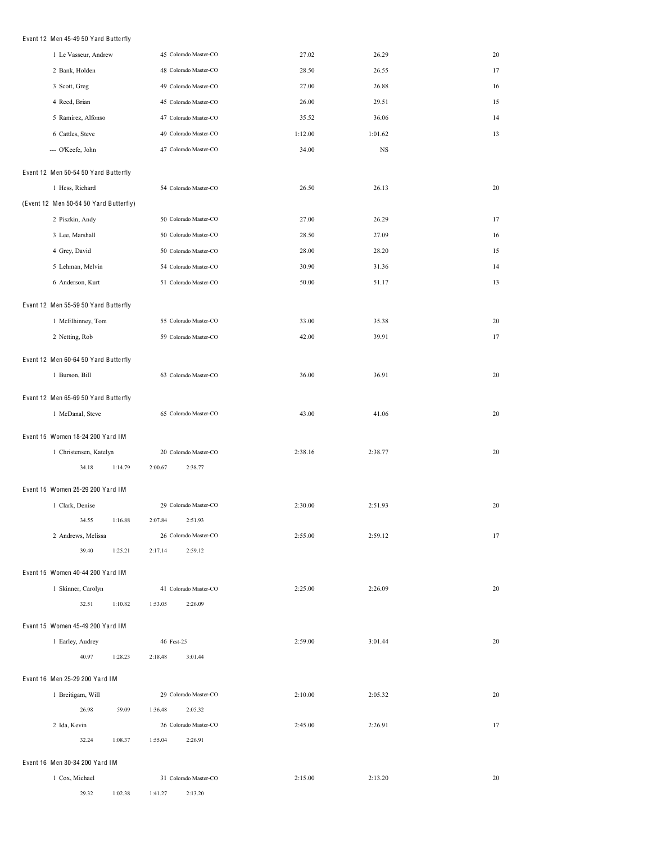## Event 12 Men 45-49 50 Yard Butterfly

| 1 Le Vasseur, Andrew                   | 45 Colorado Master-CO            | 27.02   | 26.29   | 20 |
|----------------------------------------|----------------------------------|---------|---------|----|
| 2 Bank, Holden                         | 48 Colorado Master-CO            | 28.50   | 26.55   | 17 |
| 3 Scott, Greg                          | 49 Colorado Master-CO            | 27.00   | 26.88   | 16 |
| 4 Reed, Brian                          | 45 Colorado Master-CO            | 26.00   | 29.51   | 15 |
| 5 Ramirez, Alfonso                     | 47 Colorado Master-CO            | 35.52   | 36.06   | 14 |
| 6 Cattles, Steve                       | 49 Colorado Master-CO            | 1:12.00 | 1:01.62 | 13 |
| --- O'Keefe, John                      | 47 Colorado Master-CO            | 34.00   | NS      |    |
| Event 12 Men 50-54 50 Yard Butterfly   |                                  |         |         |    |
| 1 Hess, Richard                        | 54 Colorado Master-CO            | 26.50   | 26.13   | 20 |
| (Event 12 Men 50-54 50 Yard Butterfly) |                                  |         |         |    |
| 2 Piszkin, Andy                        | 50 Colorado Master-CO            | 27.00   | 26.29   | 17 |
| 3 Lee, Marshall                        | 50 Colorado Master-CO            | 28.50   | 27.09   | 16 |
| 4 Grey, David                          | 50 Colorado Master-CO            | 28.00   | 28.20   | 15 |
| 5 Lehman, Melvin                       | 54 Colorado Master-CO            | 30.90   | 31.36   | 14 |
| 6 Anderson, Kurt                       | 51 Colorado Master-CO            | 50.00   | 51.17   | 13 |
|                                        |                                  |         |         |    |
| Event 12 Men 55-59 50 Yard Butterfly   |                                  |         |         |    |
| 1 McElhinney, Tom                      | 55 Colorado Master-CO            | 33.00   | 35.38   | 20 |
| 2 Netting, Rob                         | 59 Colorado Master-CO            | 42.00   | 39.91   | 17 |
| Event 12 Men 60-64 50 Yard Butterfly   |                                  |         |         |    |
| 1 Burson, Bill                         | 63 Colorado Master-CO            | 36.00   | 36.91   | 20 |
| Event 12 Men 65-69 50 Yard Butterfly   |                                  |         |         |    |
| 1 McDanal, Steve                       | 65 Colorado Master-CO            | 43.00   | 41.06   | 20 |
|                                        |                                  |         |         |    |
| Event 15 Women 18-24 200 Yard IM       |                                  |         |         |    |
| 1 Christensen, Katelyn                 | 20 Colorado Master-CO            | 2:38.16 | 2:38.77 | 20 |
| 34.18<br>1:14.79                       | 2:38.77<br>2:00.67               |         |         |    |
| Event 15 Women 25-29 200 Yard IM       |                                  |         |         |    |
| 1 Clark, Denise                        | 29 Colorado Master-CO            | 2:30.00 | 2:51.93 | 20 |
| 34.55<br>1:16.88                       | 2:07.84<br>2:51.93               |         |         |    |
| 2 Andrews, Melissa                     | 26 Colorado Master-CO            | 2:55.00 | 2:59.12 | 17 |
| 39.40<br>1:25.21                       | 2:59.12<br>2:17.14               |         |         |    |
| Event 15 Women 40-44 200 Yard IM       |                                  |         |         |    |
| 1 Skinner, Carolyn                     | 41 Colorado Master-CO            | 2:25.00 | 2:26.09 | 20 |
| 32.51<br>1:10.82                       | 2:26.09<br>1:53.05               |         |         |    |
|                                        |                                  |         |         |    |
| Event 15 Women 45-49 200 Yard IM       |                                  |         |         |    |
| 1 Earley, Audrey<br>40.97<br>1:28.23   | 46 Fest-25<br>2:18.48<br>3:01.44 | 2:59.00 | 3:01.44 | 20 |
|                                        |                                  |         |         |    |
| Event 16 Men 25-29 200 Yard IM         |                                  |         |         |    |
| 1 Breitigam, Will                      | 29 Colorado Master-CO            | 2:10.00 | 2:05.32 | 20 |
| 26.98<br>59.09                         | 2:05.32<br>1:36.48               |         |         |    |
| 2 Ida, Kevin                           | 26 Colorado Master-CO            | 2:45.00 | 2:26.91 | 17 |
| 32.24<br>1:08.37                       | 1:55.04<br>2:26.91               |         |         |    |
| Event 16 Men 30-34 200 Yard IM         |                                  |         |         |    |
| 1 Cox, Michael                         | 31 Colorado Master-CO            | 2:15.00 | 2:13.20 | 20 |
| 29.32<br>1:02.38                       | 1:41.27<br>2:13.20               |         |         |    |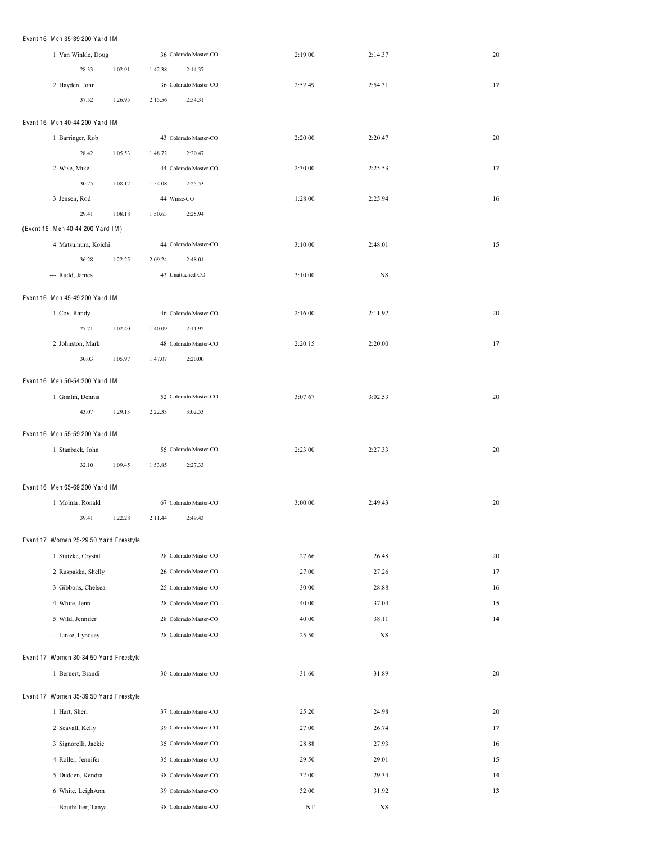| Event 16 Men 35-39 200 Yard IM         |         |                  |                       |         |         |    |
|----------------------------------------|---------|------------------|-----------------------|---------|---------|----|
| 1 Van Winkle, Doug                     |         |                  | 36 Colorado Master-CO | 2:19.00 | 2:14.37 | 20 |
| 28.33                                  | 1:02.91 | 1:42.38          | 2:14.37               |         |         |    |
| 2 Hayden, John                         |         |                  | 36 Colorado Master-CO | 2:52.49 | 2:54.31 | 17 |
| 37.52                                  | 1:26.95 | 2:15.56          | 2:54.31               |         |         |    |
| Event 16 Men 40-44 200 Yard IM         |         |                  |                       |         |         |    |
| 1 Barringer, Rob                       |         |                  | 43 Colorado Master-CO | 2:20.00 | 2:20.47 | 20 |
| 28.42                                  | 1:05.53 | 1:48.72          | 2:20.47               |         |         |    |
| 2 Wise, Mike                           |         |                  | 44 Colorado Master-CO | 2:30.00 | 2:25.53 | 17 |
| 30.25                                  | 1:08.12 | 1:54.08          | 2:25.53               |         |         |    |
| 3 Jensen, Rod                          |         | 44 Wmsc-CO       |                       | 1:28.00 | 2:25.94 | 16 |
| 29.41                                  | 1:08.18 | 1:50.63          | 2:25.94               |         |         |    |
| (Event 16 Men 40-44 200 Yard IM)       |         |                  |                       |         |         |    |
| 4 Matsumura, Koichi                    |         |                  | 44 Colorado Master-CO | 3:10.00 | 2:48.01 | 15 |
| 36.28                                  | 1:22.25 | 2:09.24          | 2:48.01               |         |         |    |
| --- Rudd, James                        |         | 43 Unattached-CO |                       | 3:10.00 | NS      |    |
|                                        |         |                  |                       |         |         |    |
| Event 16 Men 45-49 200 Yard IM         |         |                  |                       |         |         |    |
| 1 Cox, Randy                           |         |                  | 46 Colorado Master-CO | 2:16.00 | 2:11.92 | 20 |
| 27.71                                  | 1:02.40 | 1:40.09          | 2:11.92               |         |         |    |
| 2 Johnston, Mark                       |         |                  | 48 Colorado Master-CO | 2:20.15 | 2:20.00 | 17 |
| 30.03                                  | 1:05.97 | 1:47.07          | 2:20.00               |         |         |    |
| Event 16 Men 50-54 200 Yard IM         |         |                  |                       |         |         |    |
| 1 Gimlin, Dennis                       |         |                  | 52 Colorado Master-CO | 3:07.67 | 3:02.53 | 20 |
| 43.07                                  | 1:29.13 | 2:22.33          | 3:02.53               |         |         |    |
| Event 16 Men 55-59 200 Yard IM         |         |                  |                       |         |         |    |
| 1 Stanback, John                       |         |                  | 55 Colorado Master-CO | 2:23.00 | 2:27.33 | 20 |
| 32.10                                  | 1:09.45 | 1:53.85          | 2:27.33               |         |         |    |
|                                        |         |                  |                       |         |         |    |
| Event 16 Men 65-69 200 Yard IM         |         |                  |                       |         |         |    |
| 1 Molnar, Ronald                       |         |                  | 67 Colorado Master-CO | 3:00.00 | 2:49.43 | 20 |
| 39.41                                  | 1:22.28 | 2:11.44          | 2:49.43               |         |         |    |
| Event 17 Women 25-29 50 Yard Freestyle |         |                  |                       |         |         |    |
| 1 Stutzke, Crystal                     |         |                  | 28 Colorado Master-CO | 27.66   | 26.48   | 20 |
| 2 Ruspakka, Shelly                     |         |                  | 26 Colorado Master-CO | 27.00   | 27.26   | 17 |
| 3 Gibbons, Chelsea                     |         |                  | 25 Colorado Master-CO | 30.00   | 28.88   | 16 |
| 4 White, Jenn                          |         |                  | 28 Colorado Master-CO | 40.00   | 37.04   | 15 |
| 5 Wild, Jennifer                       |         |                  | 28 Colorado Master-CO | 40.00   | 38.11   | 14 |
| --- Linke, Lyndsey                     |         |                  | 28 Colorado Master-CO | 25.50   | NS      |    |
|                                        |         |                  |                       |         |         |    |
|                                        |         |                  |                       |         |         |    |
| Event 17 Women 30-34 50 Yard Freestyle |         |                  |                       |         |         |    |
| 1 Bernert, Brandi                      |         |                  | 30 Colorado Master-CO | 31.60   | 31.89   | 20 |
| Event 17 Women 35-39 50 Yard Freestyle |         |                  |                       |         |         |    |
| 1 Hart, Sheri                          |         |                  | 37 Colorado Master-CO | 25.20   | 24.98   | 20 |
| 2 Seavall, Kelly                       |         |                  | 39 Colorado Master-CO | 27.00   | 26.74   | 17 |
| 3 Signorelli, Jackie                   |         |                  | 35 Colorado Master-CO | 28.88   | 27.93   | 16 |
| 4 Roller, Jennifer                     |         |                  | 35 Colorado Master-CO | 29.50   | 29.01   | 15 |
| 5 Dudden, Kendra                       |         |                  | 38 Colorado Master-CO | 32.00   | 29.34   | 14 |
| 6 White, LeighAnn                      |         |                  | 39 Colorado Master-CO | 32.00   | 31.92   | 13 |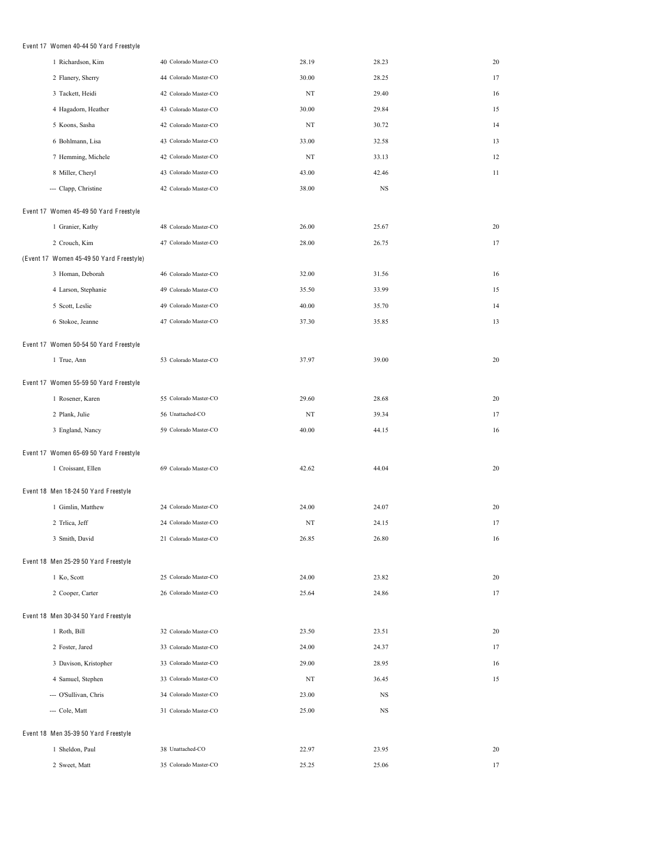# Event 17 Women 40-44 50 Yard F reestyle

| 1 Richardson, Kim                        | 40 Colorado Master-CO | 28.19 | 28.23 | 20 |
|------------------------------------------|-----------------------|-------|-------|----|
| 2 Flanery, Sherry                        | 44 Colorado Master-CO | 30.00 | 28.25 | 17 |
| 3 Tackett, Heidi                         | 42 Colorado Master-CO | NT    | 29.40 | 16 |
| 4 Hagadorn, Heather                      | 43 Colorado Master-CO | 30.00 | 29.84 | 15 |
| 5 Koons, Sasha                           | 42 Colorado Master-CO | NT    | 30.72 | 14 |
| 6 Bohlmann, Lisa                         | 43 Colorado Master-CO | 33.00 | 32.58 | 13 |
| 7 Hemming, Michele                       | 42 Colorado Master-CO | NT    | 33.13 | 12 |
| 8 Miller, Cheryl                         | 43 Colorado Master-CO | 43.00 | 42.46 | 11 |
| --- Clapp, Christine                     | 42 Colorado Master-CO | 38.00 | NS    |    |
| Event 17 Women 45-49 50 Yard Freestyle   |                       |       |       |    |
| 1 Granier, Kathy                         | 48 Colorado Master-CO | 26.00 | 25.67 | 20 |
| 2 Crouch, Kim                            | 47 Colorado Master-CO | 28.00 | 26.75 | 17 |
| (Event 17 Women 45-49 50 Yard Freestyle) |                       |       |       |    |
| 3 Homan, Deborah                         | 46 Colorado Master-CO | 32.00 | 31.56 | 16 |
| 4 Larson, Stephanie                      | 49 Colorado Master-CO | 35.50 | 33.99 | 15 |
| 5 Scott, Leslie                          | 49 Colorado Master-CO | 40.00 | 35.70 | 14 |
| 6 Stokoe, Jeanne                         | 47 Colorado Master-CO | 37.30 | 35.85 | 13 |
| Event 17 Women 50-54 50 Yard Freestyle   |                       |       |       |    |
| 1 True, Ann                              | 53 Colorado Master-CO | 37.97 | 39.00 | 20 |
| Event 17 Women 55-59 50 Yard Freestyle   |                       |       |       |    |
| 1 Rosener, Karen                         | 55 Colorado Master-CO | 29.60 | 28.68 | 20 |
| 2 Plank, Julie                           | 56 Unattached-CO      | NT    | 39.34 | 17 |
| 3 England, Nancy                         | 59 Colorado Master-CO | 40.00 | 44.15 | 16 |
| Event 17 Women 65-69 50 Yard Freestyle   |                       |       |       |    |
| 1 Croissant, Ellen                       | 69 Colorado Master-CO | 42.62 | 44.04 | 20 |
| Event 18 Men 18-24 50 Yard Freestyle     |                       |       |       |    |
| 1 Gimlin, Matthew                        | 24 Colorado Master-CO | 24.00 | 24.07 | 20 |
| 2 Trlica, Jeff                           | 24 Colorado Master-CO | NT    | 24.15 | 17 |
| 3 Smith, David                           | 21 Colorado Master-CO | 26.85 | 26.80 | 16 |
|                                          |                       |       |       |    |
| Event 18 Men 25-29 50 Yard Freestyle     |                       |       |       |    |
| 1 Ko, Scott                              | 25 Colorado Master-CO | 24.00 | 23.82 | 20 |
| 2 Cooper, Carter                         | 26 Colorado Master-CO | 25.64 | 24.86 | 17 |
| Event 18 Men 30-34 50 Yard Freestyle     |                       |       |       |    |
| 1 Roth, Bill                             | 32 Colorado Master-CO | 23.50 | 23.51 | 20 |
| 2 Foster, Jared                          | 33 Colorado Master-CO | 24.00 | 24.37 | 17 |
| 3 Davison, Kristopher                    | 33 Colorado Master-CO | 29.00 | 28.95 | 16 |
| 4 Samuel, Stephen                        | 33 Colorado Master-CO | NT    | 36.45 | 15 |
| --- O'Sullivan, Chris                    | 34 Colorado Master-CO | 23.00 | NS    |    |
| --- Cole, Matt                           | 31 Colorado Master-CO | 25.00 | NS    |    |
| Event 18 Men 35-39 50 Yard Freestyle     |                       |       |       |    |
| 1 Sheldon, Paul                          | 38 Unattached-CO      | 22.97 | 23.95 | 20 |
| 2 Sweet, Matt                            | 35 Colorado Master-CO | 25.25 | 25.06 | 17 |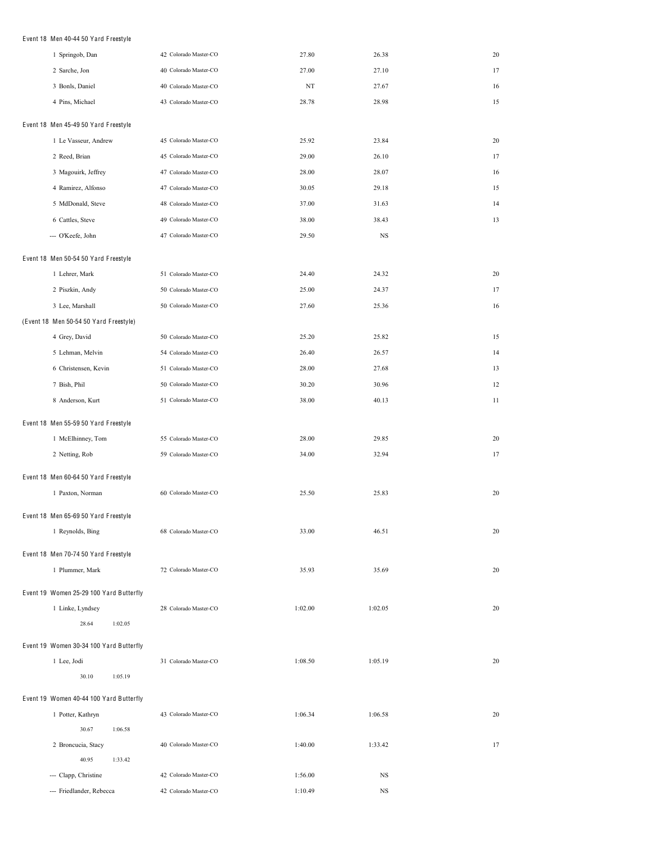### Event 18 Men 40-44 50 Yard F reestyle

| 1 Springob, Dan                         | 42 Colorado Master-CO | 27.80   | 26.38   | 20 |
|-----------------------------------------|-----------------------|---------|---------|----|
| 2 Sarche, Jon                           | 40 Colorado Master-CO | 27.00   | 27.10   | 17 |
| 3 Bonls, Daniel                         | 40 Colorado Master-CO | NT      | 27.67   | 16 |
| 4 Pins, Michael                         | 43 Colorado Master-CO | 28.78   | 28.98   | 15 |
| Event 18 Men 45-49 50 Yard Freestyle    |                       |         |         |    |
| 1 Le Vasseur, Andrew                    | 45 Colorado Master-CO | 25.92   | 23.84   | 20 |
| 2 Reed, Brian                           | 45 Colorado Master-CO | 29.00   | 26.10   | 17 |
| 3 Magouirk, Jeffrey                     | 47 Colorado Master-CO | 28.00   | 28.07   | 16 |
| 4 Ramirez, Alfonso                      | 47 Colorado Master-CO | 30.05   | 29.18   | 15 |
| 5 MdDonald, Steve                       | 48 Colorado Master-CO | 37.00   | 31.63   | 14 |
| 6 Cattles, Steve                        | 49 Colorado Master-CO | 38.00   | 38.43   | 13 |
| --- O'Keefe, John                       | 47 Colorado Master-CO | 29.50   | NS      |    |
| Event 18 Men 50-54 50 Yard Freestyle    |                       |         |         |    |
| 1 Lehrer, Mark                          | 51 Colorado Master-CO | 24.40   | 24.32   | 20 |
| 2 Piszkin, Andy                         | 50 Colorado Master-CO | 25.00   | 24.37   | 17 |
| 3 Lee, Marshall                         | 50 Colorado Master-CO | 27.60   | 25.36   | 16 |
| (Event 18 Men 50-54 50 Yard Freestyle)  |                       |         |         |    |
| 4 Grey, David                           | 50 Colorado Master-CO | 25.20   | 25.82   | 15 |
| 5 Lehman, Melvin                        | 54 Colorado Master-CO | 26.40   | 26.57   | 14 |
| 6 Christensen, Kevin                    | 51 Colorado Master-CO | 28.00   | 27.68   | 13 |
| 7 Bish, Phil                            | 50 Colorado Master-CO | 30.20   | 30.96   | 12 |
| 8 Anderson, Kurt                        | 51 Colorado Master-CO | 38.00   | 40.13   | 11 |
| Event 18 Men 55-59 50 Yard Freestyle    |                       |         |         |    |
| 1 McElhinney, Tom                       | 55 Colorado Master-CO | 28.00   | 29.85   | 20 |
| 2 Netting, Rob                          | 59 Colorado Master-CO | 34.00   | 32.94   | 17 |
| Event 18 Men 60-64 50 Yard Freestyle    |                       |         |         |    |
| 1 Paxton, Norman                        | 60 Colorado Master-CO | 25.50   | 25.83   | 20 |
| Event 18 Men 65-69 50 Yard Freestyle    |                       |         |         |    |
| 1 Reynolds, Bing                        | 68 Colorado Master-CO | 33.00   | 46.51   | 20 |
| Event 18 Men 70-74 50 Yard Freestyle    |                       |         |         |    |
| 1 Plummer, Mark                         | 72 Colorado Master-CO | 35.93   | 35.69   | 20 |
|                                         |                       |         |         |    |
| Event 19 Women 25-29 100 Yard Butterfly |                       |         |         |    |
| 1 Linke, Lyndsey                        | 28 Colorado Master-CO | 1:02.00 | 1:02.05 | 20 |
| 28.64<br>1:02.05                        |                       |         |         |    |
| Event 19 Women 30-34 100 Yard Butterfly |                       |         |         |    |
| 1 Lee, Jodi                             | 31 Colorado Master-CO | 1:08.50 | 1:05.19 | 20 |
| 30.10<br>1:05.19                        |                       |         |         |    |
| Event 19 Women 40-44 100 Yard Butterfly |                       |         |         |    |
| 1 Potter, Kathryn                       | 43 Colorado Master-CO | 1:06.34 | 1:06.58 | 20 |
| 30.67<br>1:06.58                        |                       |         |         |    |
| 2 Broncucia, Stacy                      | 40 Colorado Master-CO | 1:40.00 | 1:33.42 | 17 |
| 40.95<br>1:33.42                        |                       |         |         |    |
| --- Clapp, Christine                    | 42 Colorado Master-CO | 1:56.00 | NS      |    |
| --- Friedlander, Rebecca                | 42 Colorado Master-CO | 1:10.49 | NS      |    |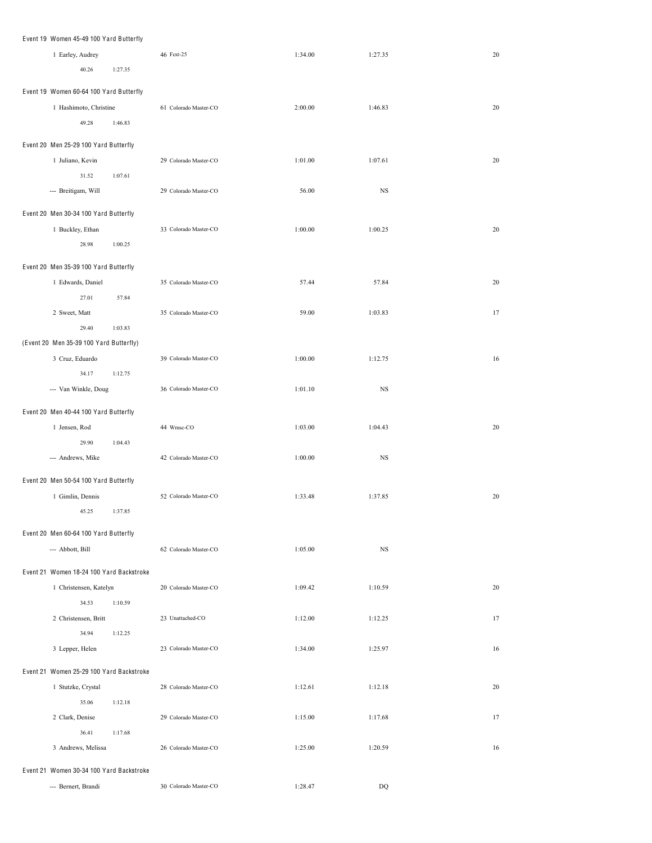| Event 19 Women 45-49 100 Yard Butterfly                    |         |                       |         |             |    |
|------------------------------------------------------------|---------|-----------------------|---------|-------------|----|
| 1 Earley, Audrey                                           |         | 46 Fest-25            | 1:34.00 | 1:27.35     | 20 |
| 40.26                                                      | 1:27.35 |                       |         |             |    |
| Event 19 Women 60-64 100 Yard Butterfly                    |         |                       |         |             |    |
| 1 Hashimoto, Christine                                     |         | 61 Colorado Master-CO | 2:00.00 | 1:46.83     | 20 |
| 49.28                                                      | 1:46.83 |                       |         |             |    |
|                                                            |         |                       |         |             |    |
| Event 20 Men 25-29 100 Yard Butterfly                      |         |                       |         |             |    |
| 1 Juliano, Kevin                                           |         | 29 Colorado Master-CO | 1:01.00 | 1:07.61     | 20 |
| 31.52                                                      | 1:07.61 |                       |         |             |    |
| --- Breitigam, Will                                        |         | 29 Colorado Master-CO | 56.00   | $_{\rm NS}$ |    |
| Event 20 Men 30-34 100 Yard Butterfly                      |         |                       |         |             |    |
| 1 Buckley, Ethan                                           |         | 33 Colorado Master-CO | 1:00.00 | 1:00.25     | 20 |
| 28.98                                                      | 1:00.25 |                       |         |             |    |
|                                                            |         |                       |         |             |    |
| Event 20 Men 35-39 100 Yard Butterfly<br>1 Edwards, Daniel |         | 35 Colorado Master-CO | 57.44   | 57.84       | 20 |
| 27.01                                                      | 57.84   |                       |         |             |    |
| 2 Sweet, Matt                                              |         | 35 Colorado Master-CO | 59.00   | 1:03.83     | 17 |
| 29.40                                                      | 1:03.83 |                       |         |             |    |
| (Event 20 Men 35-39 100 Yard Butterfly)                    |         |                       |         |             |    |
| 3 Cruz, Eduardo                                            |         | 39 Colorado Master-CO | 1:00.00 | 1:12.75     | 16 |
| 34.17                                                      | 1:12.75 |                       |         |             |    |
| --- Van Winkle, Doug                                       |         | 36 Colorado Master-CO | 1:01.10 | $_{\rm NS}$ |    |
|                                                            |         |                       |         |             |    |
| Event 20 Men 40-44 100 Yard Butterfly                      |         |                       |         |             |    |
| 1 Jensen, Rod                                              |         | 44 Wmsc-CO            | 1:03.00 | 1:04.43     | 20 |
| 29.90                                                      | 1:04.43 |                       |         |             |    |
| --- Andrews, Mike                                          |         | 42 Colorado Master-CO | 1:00.00 | $_{\rm NS}$ |    |
| Event 20 Men 50-54 100 Yard Butterfly                      |         |                       |         |             |    |
| 1 Gimlin, Dennis                                           |         | 52 Colorado Master-CO | 1:33.48 | 1:37.85     | 20 |
| 45.25                                                      | 1:37.85 |                       |         |             |    |
|                                                            |         |                       |         |             |    |
| Event 20 Men 60-64 100 Yard Butterfly                      |         |                       |         |             |    |
| --- Abbott, Bill                                           |         | 62 Colorado Master-CO | 1:05.00 | $_{\rm NS}$ |    |
| Event 21 Women 18-24 100 Yard Backstroke                   |         |                       |         |             |    |
| 1 Christensen, Katelyn                                     |         | 20 Colorado Master-CO | 1:09.42 | 1:10.59     | 20 |
| 34.53                                                      | 1:10.59 |                       |         |             |    |
| 2 Christensen, Britt                                       |         | 23 Unattached-CO      | 1:12.00 | 1:12.25     | 17 |
| 34.94                                                      | 1:12.25 |                       |         |             |    |
| 3 Lepper, Helen                                            |         | 23 Colorado Master-CO | 1:34.00 | 1:25.97     | 16 |
| Event 21 Women 25-29 100 Yard Backstroke                   |         |                       |         |             |    |
| 1 Stutzke, Crystal                                         |         | 28 Colorado Master-CO | 1:12.61 | 1:12.18     | 20 |
| 35.06                                                      | 1:12.18 |                       |         |             |    |
| 2 Clark, Denise                                            |         | 29 Colorado Master-CO | 1:15.00 | 1:17.68     | 17 |
| 36.41                                                      | 1:17.68 |                       |         |             |    |
| 3 Andrews, Melissa                                         |         | 26 Colorado Master-CO | 1:25.00 | 1:20.59     | 16 |
|                                                            |         |                       |         |             |    |
| Event 21 Women 30-34 100 Yard Backstroke                   |         |                       |         |             |    |
| --- Bernert, Brandi                                        |         | 30 Colorado Master-CO | 1:28.47 | DQ          |    |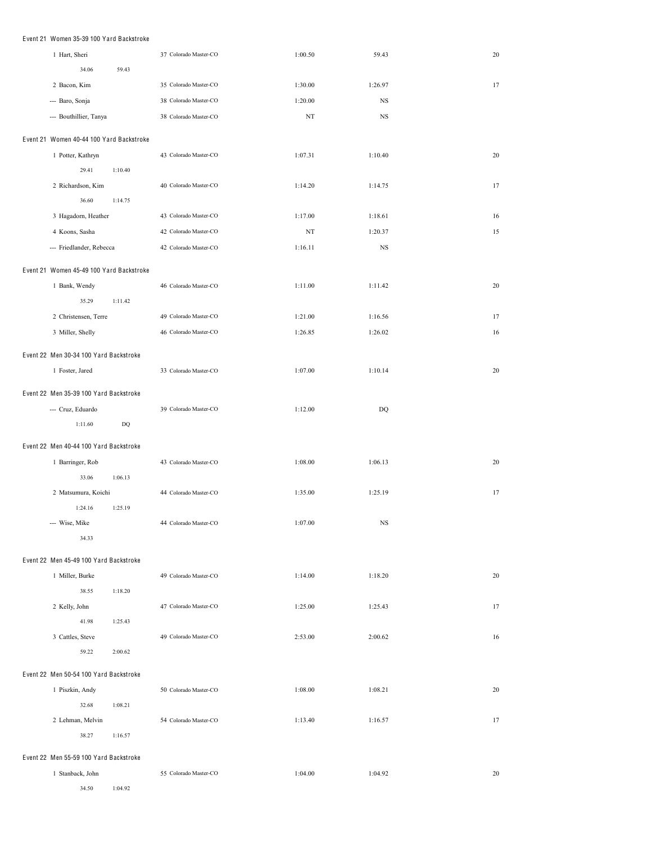### Event 21 Women 35-39 100 Yard Backstroke

| 1 Hart, Sheri                            |                        | 37 Colorado Master-CO | 1:00.50 | 59.43   | 20 |
|------------------------------------------|------------------------|-----------------------|---------|---------|----|
| 34.06                                    | 59.43                  |                       |         |         |    |
| 2 Bacon, Kim                             |                        | 35 Colorado Master-CO | 1:30.00 | 1:26.97 | 17 |
| --- Baro, Sonja                          |                        | 38 Colorado Master-CO | 1:20.00 | NS      |    |
| --- Bouthillier, Tanya                   |                        | 38 Colorado Master-CO | NT      | NS      |    |
|                                          |                        |                       |         |         |    |
| Event 21 Women 40-44 100 Yard Backstroke |                        |                       |         |         |    |
| 1 Potter, Kathryn                        |                        | 43 Colorado Master-CO | 1:07.31 | 1:10.40 | 20 |
| 29.41                                    | 1:10.40                |                       |         |         |    |
| 2 Richardson, Kim<br>36.60               | 1:14.75                | 40 Colorado Master-CO | 1:14.20 | 1:14.75 | 17 |
| 3 Hagadorn, Heather                      |                        | 43 Colorado Master-CO | 1:17.00 | 1:18.61 | 16 |
| 4 Koons, Sasha                           |                        | 42 Colorado Master-CO | ΝT      | 1:20.37 | 15 |
|                                          |                        | 42 Colorado Master-CO |         |         |    |
| --- Friedlander, Rebecca                 |                        |                       | 1:16.11 | NS      |    |
| Event 21 Women 45-49 100 Yard Backstroke |                        |                       |         |         |    |
| 1 Bank, Wendy                            |                        | 46 Colorado Master-CO | 1:11.00 | 1:11.42 | 20 |
| 35.29                                    | 1:11.42                |                       |         |         |    |
| 2 Christensen, Terre                     |                        | 49 Colorado Master-CO | 1:21.00 | 1:16.56 | 17 |
| 3 Miller, Shelly                         |                        | 46 Colorado Master-CO | 1:26.85 | 1:26.02 | 16 |
| Event 22 Men 30-34 100 Yard Backstroke   |                        |                       |         |         |    |
| 1 Foster, Jared                          |                        | 33 Colorado Master-CO | 1:07.00 | 1:10.14 | 20 |
|                                          |                        |                       |         |         |    |
| Event 22 Men 35-39 100 Yard Backstroke   |                        |                       |         |         |    |
| --- Cruz, Eduardo                        |                        | 39 Colorado Master-CO | 1:12.00 | DQ      |    |
| 1:11.60                                  | $\mathbf{D}\mathbf{Q}$ |                       |         |         |    |
| Event 22 Men 40-44 100 Yard Backstroke   |                        |                       |         |         |    |
| 1 Barringer, Rob                         |                        | 43 Colorado Master-CO | 1:08.00 | 1:06.13 | 20 |
| 33.06                                    | 1:06.13                |                       |         |         |    |
| 2 Matsumura, Koichi                      |                        | 44 Colorado Master-CO | 1:35.00 | 1:25.19 | 17 |
| 1:24.16                                  | 1:25.19                |                       |         |         |    |
| --- Wise, Mike                           |                        | 44 Colorado Master-CO | 1:07.00 | NS      |    |
| 34.33                                    |                        |                       |         |         |    |
| Event 22 Men 45-49 100 Yard Backstroke   |                        |                       |         |         |    |
| 1 Miller, Burke                          |                        | 49 Colorado Master-CO | 1:14.00 | 1:18.20 | 20 |
| 38.55                                    | 1:18.20                |                       |         |         |    |
| 2 Kelly, John                            |                        | 47 Colorado Master-CO | 1:25.00 | 1:25.43 | 17 |
| 41.98                                    | 1:25.43                |                       |         |         |    |
| 3 Cattles, Steve                         |                        | 49 Colorado Master-CO | 2:53.00 | 2:00.62 | 16 |
| 59.22                                    | 2:00.62                |                       |         |         |    |
|                                          |                        |                       |         |         |    |
| Event 22 Men 50-54 100 Yard Backstroke   |                        |                       |         |         |    |
| 1 Piszkin, Andy                          |                        | 50 Colorado Master-CO | 1:08.00 | 1:08.21 | 20 |
| 32.68                                    | 1:08.21                |                       |         |         |    |
| 2 Lehman, Melvin<br>38.27                |                        | 54 Colorado Master-CO | 1:13.40 | 1:16.57 | 17 |
|                                          | 1:16.57                |                       |         |         |    |
| Event 22 Men 55-59 100 Yard Backstroke   |                        |                       |         |         |    |
| 1 Stanback, John                         |                        | 55 Colorado Master-CO | 1:04.00 | 1:04.92 | 20 |

34.50 1:04.92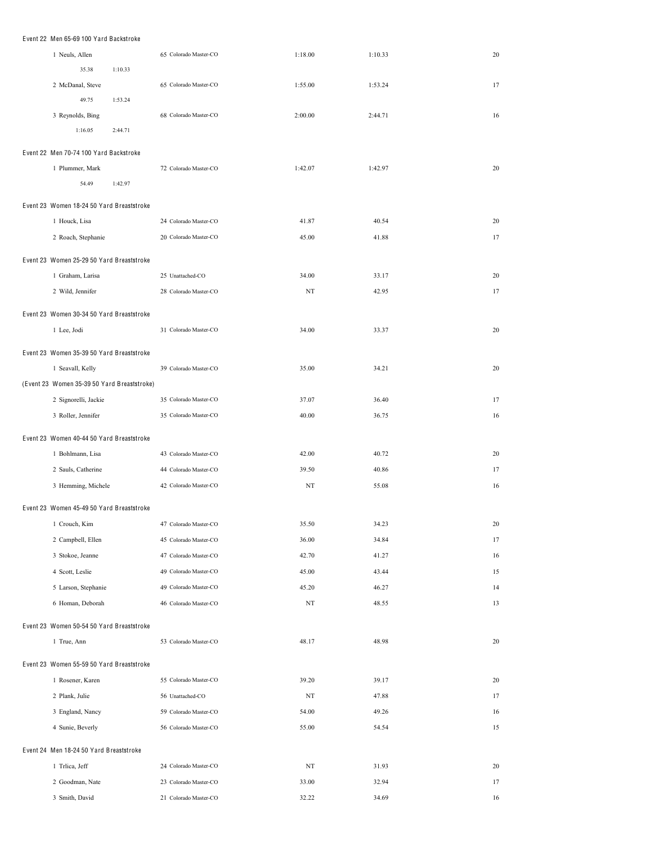| Event 22 Men 65-69 100 Yard Backstroke      |                       |         |         |    |
|---------------------------------------------|-----------------------|---------|---------|----|
| 1 Neuls, Allen                              | 65 Colorado Master-CO | 1:18.00 | 1:10.33 | 20 |
| 35.38<br>1:10.33                            |                       |         |         |    |
| 2 McDanal, Steve                            | 65 Colorado Master-CO | 1:55.00 | 1:53.24 | 17 |
| 49.75<br>1:53.24                            |                       |         |         |    |
| 3 Reynolds, Bing                            | 68 Colorado Master-CO | 2:00.00 | 2:44.71 | 16 |
| 1:16.05<br>2:44.71                          |                       |         |         |    |
| Event 22 Men 70-74 100 Yard Backstroke      |                       |         |         |    |
| 1 Plummer, Mark                             | 72 Colorado Master-CO | 1:42.07 | 1:42.97 | 20 |
| 54.49<br>1:42.97                            |                       |         |         |    |
|                                             |                       |         |         |    |
| Event 23 Women 18-24 50 Yard Breaststroke   |                       |         |         |    |
| 1 Houck, Lisa                               | 24 Colorado Master-CO | 41.87   | 40.54   | 20 |
| 2 Roach, Stephanie                          | 20 Colorado Master-CO | 45.00   | 41.88   | 17 |
| Event 23 Women 25-29 50 Yard Breaststroke   |                       |         |         |    |
| 1 Graham, Larisa                            | 25 Unattached-CO      | 34.00   | 33.17   | 20 |
| 2 Wild, Jennifer                            | 28 Colorado Master-CO | NT      | 42.95   | 17 |
| Event 23 Women 30-34 50 Yard Breaststroke   |                       |         |         |    |
| 1 Lee, Jodi                                 | 31 Colorado Master-CO | 34.00   | 33.37   | 20 |
|                                             |                       |         |         |    |
| Event 23 Women 35-39 50 Yard Breaststroke   |                       |         |         |    |
| 1 Seavall, Kelly                            | 39 Colorado Master-CO | 35.00   | 34.21   | 20 |
| (Event 23 Women 35-39 50 Yard Breaststroke) |                       |         |         |    |
| 2 Signorelli, Jackie                        | 35 Colorado Master-CO | 37.07   | 36.40   | 17 |
| 3 Roller, Jennifer                          | 35 Colorado Master-CO | 40.00   | 36.75   | 16 |
| Event 23 Women 40-44 50 Yard Breaststroke   |                       |         |         |    |
| 1 Bohlmann, Lisa                            | 43 Colorado Master-CO | 42.00   | 40.72   | 20 |
| 2 Sauls, Catherine                          | 44 Colorado Master-CO | 39.50   | 40.86   | 17 |
| 3 Hemming, Michele                          | 42 Colorado Master-CO | NT      | 55.08   | 16 |
| Event 23 Women 45-49 50 Yard Breaststroke   |                       |         |         |    |
| 1 Crouch, Kim                               | 47 Colorado Master-CO | 35.50   | 34.23   | 20 |
| 2 Campbell, Ellen                           | 45 Colorado Master-CO | 36.00   | 34.84   | 17 |
| 3 Stokoe, Jeanne                            | 47 Colorado Master-CO | 42.70   | 41.27   | 16 |
| 4 Scott, Leslie                             | 49 Colorado Master-CO | 45.00   | 43.44   | 15 |
| 5 Larson, Stephanie                         | 49 Colorado Master-CO | 45.20   | 46.27   | 14 |
| 6 Homan, Deborah                            | 46 Colorado Master-CO | NT      | 48.55   | 13 |
|                                             |                       |         |         |    |
| Event 23 Women 50-54 50 Yard Breaststroke   |                       |         |         |    |
| 1 True, Ann                                 | 53 Colorado Master-CO | 48.17   | 48.98   | 20 |
| Event 23 Women 55-59 50 Yard Breaststroke   |                       |         |         |    |
| 1 Rosener, Karen                            | 55 Colorado Master-CO | 39.20   | 39.17   | 20 |
| 2 Plank, Julie                              | 56 Unattached-CO      | NT      | 47.88   | 17 |
| 3 England, Nancy                            | 59 Colorado Master-CO | 54.00   | 49.26   | 16 |
| 4 Sunie, Beverly                            | 56 Colorado Master-CO | 55.00   | 54.54   | 15 |
|                                             |                       |         |         |    |
| Event 24 Men 18-24 50 Yard Breaststroke     |                       |         |         |    |
| 1 Trlica, Jeff                              | 24 Colorado Master-CO | NT      | 31.93   | 20 |
| 2 Goodman, Nate                             | 23 Colorado Master-CO | 33.00   | 32.94   | 17 |
| 3 Smith, David                              | 21 Colorado Master-CO | 32.22   | 34.69   | 16 |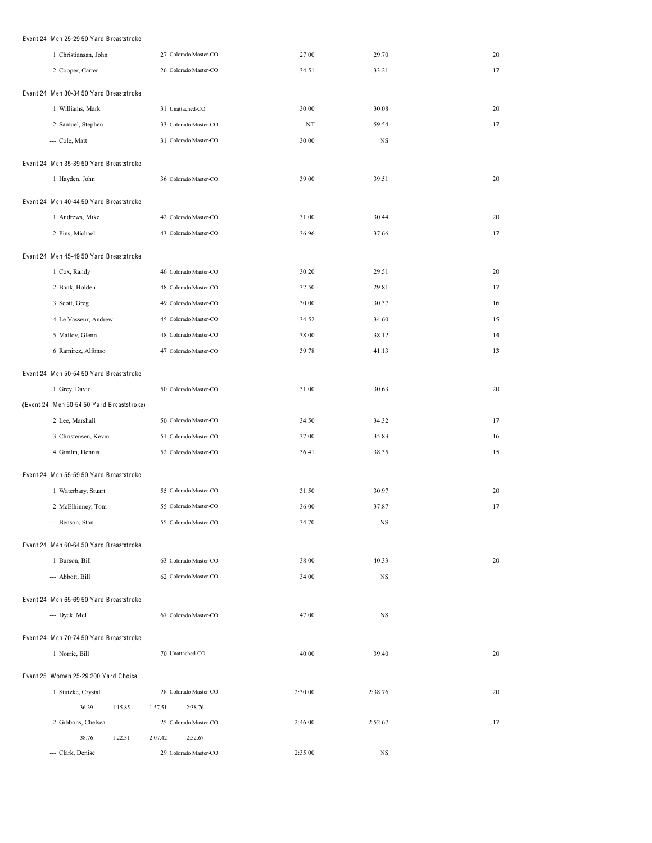| Event 24 Men 25-29 50 Yard Breaststroke   |                       |         |           |    |
|-------------------------------------------|-----------------------|---------|-----------|----|
| 1 Christiansan, John                      | 27 Colorado Master-CO | 27.00   | 29.70     | 20 |
| 2 Cooper, Carter                          | 26 Colorado Master-CO | 34.51   | 33.21     | 17 |
| Event 24 Men 30-34 50 Yard Breaststroke   |                       |         |           |    |
| 1 Williams, Mark                          | 31 Unattached-CO      | 30.00   | 30.08     | 20 |
| 2 Samuel, Stephen                         | 33 Colorado Master-CO | NT      | 59.54     | 17 |
| --- Cole, Matt                            | 31 Colorado Master-CO | 30.00   | <b>NS</b> |    |
| Event 24 Men 35-39 50 Yard Breaststroke   |                       |         |           |    |
| 1 Hayden, John                            | 36 Colorado Master-CO | 39.00   | 39.51     | 20 |
| Event 24 Men 40-44 50 Yard Breaststroke   |                       |         |           |    |
| 1 Andrews, Mike                           | 42 Colorado Master-CO | 31.00   | 30.44     | 20 |
| 2 Pins, Michael                           | 43 Colorado Master-CO | 36.96   | 37.66     | 17 |
| Event 24 Men 45-49 50 Yard Breaststroke   |                       |         |           |    |
| 1 Cox, Randy                              | 46 Colorado Master-CO | 30.20   | 29.51     | 20 |
| 2 Bank, Holden                            | 48 Colorado Master-CO | 32.50   | 29.81     | 17 |
| 3 Scott, Greg                             | 49 Colorado Master-CO | 30.00   | 30.37     | 16 |
| 4 Le Vasseur, Andrew                      | 45 Colorado Master-CO | 34.52   | 34.60     | 15 |
| 5 Malloy, Glenn                           | 48 Colorado Master-CO | 38.00   | 38.12     | 14 |
| 6 Ramirez, Alfonso                        | 47 Colorado Master-CO | 39.78   | 41.13     | 13 |
| Event 24 Men 50-54 50 Yard Breaststroke   |                       |         |           |    |
| 1 Grey, David                             | 50 Colorado Master-CO | 31.00   | 30.63     | 20 |
| (Event 24 Men 50-54 50 Yard Breaststroke) |                       |         |           |    |
| 2 Lee, Marshall                           | 50 Colorado Master-CO | 34.50   | 34.32     | 17 |
| 3 Christensen, Kevin                      | 51 Colorado Master-CO | 37.00   | 35.83     | 16 |
| 4 Gimlin, Dennis                          | 52 Colorado Master-CO | 36.41   | 38.35     | 15 |
| Event 24 Men 55-59 50 Yard Breaststroke   |                       |         |           |    |
| 1 Waterbary, Stuart                       | 55 Colorado Master-CO | 31.50   | 30.97     | 20 |
| 2 McElhinney, Tom                         | 55 Colorado Master-CO | 36.00   | 37.87     | 17 |
| --- Benson, Stan                          | 55 Colorado Master-CO | 34.70   | NS        |    |
| Event 24 Men 60-64 50 Yard Breaststroke   |                       |         |           |    |
| 1 Burson, Bill                            | 63 Colorado Master-CO | 38.00   | 40.33     | 20 |
| --- Abbott, Bill                          | 62 Colorado Master-CO | 34.00   | NS        |    |
| Event 24 Men 65-69 50 Yard Breaststroke   |                       |         |           |    |
| --- Dyck, Mel                             | 67 Colorado Master-CO | 47.00   | NS        |    |
|                                           |                       |         |           |    |
| Event 24 Men 70-74 50 Yard Breaststroke   |                       |         |           |    |
| 1 Norrie, Bill                            | 70 Unattached-CO      | 40.00   | 39.40     | 20 |
| Event 25 Women 25-29 200 Yard Choice      |                       |         |           |    |
| 1 Stutzke, Crystal                        | 28 Colorado Master-CO | 2:30.00 | 2:38.76   | 20 |
| 36.39<br>1:15.85                          | 1:57.51<br>2:38.76    |         |           |    |
| 2 Gibbons, Chelsea                        | 25 Colorado Master-CO | 2:46.00 | 2:52.67   | 17 |
| 38.76<br>1:22.31                          | 2:52.67<br>2:07.42    |         |           |    |
| --- Clark, Denise                         | 29 Colorado Master-CO | 2:35.00 | NS        |    |